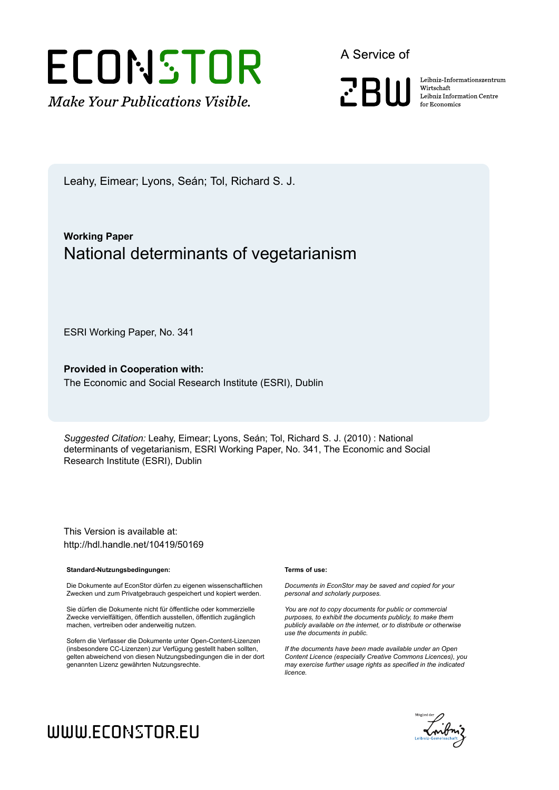

A Service of

**PRIII** 

Leibniz Informationszentrum Wirtschaft Leibniz Information Centre for Economics

Leahy, Eimear; Lyons, Seán; Tol, Richard S. J.

### **Working Paper** National determinants of vegetarianism

ESRI Working Paper, No. 341

**Provided in Cooperation with:** The Economic and Social Research Institute (ESRI), Dublin

*Suggested Citation:* Leahy, Eimear; Lyons, Seán; Tol, Richard S. J. (2010) : National determinants of vegetarianism, ESRI Working Paper, No. 341, The Economic and Social Research Institute (ESRI), Dublin

This Version is available at: http://hdl.handle.net/10419/50169

#### **Standard-Nutzungsbedingungen:**

Die Dokumente auf EconStor dürfen zu eigenen wissenschaftlichen Zwecken und zum Privatgebrauch gespeichert und kopiert werden.

Sie dürfen die Dokumente nicht für öffentliche oder kommerzielle Zwecke vervielfältigen, öffentlich ausstellen, öffentlich zugänglich machen, vertreiben oder anderweitig nutzen.

Sofern die Verfasser die Dokumente unter Open-Content-Lizenzen (insbesondere CC-Lizenzen) zur Verfügung gestellt haben sollten, gelten abweichend von diesen Nutzungsbedingungen die in der dort genannten Lizenz gewährten Nutzungsrechte.

#### **Terms of use:**

*Documents in EconStor may be saved and copied for your personal and scholarly purposes.*

*You are not to copy documents for public or commercial purposes, to exhibit the documents publicly, to make them publicly available on the internet, or to distribute or otherwise use the documents in public.*

*If the documents have been made available under an Open Content Licence (especially Creative Commons Licences), you may exercise further usage rights as specified in the indicated licence.*



# WWW.ECONSTOR.EU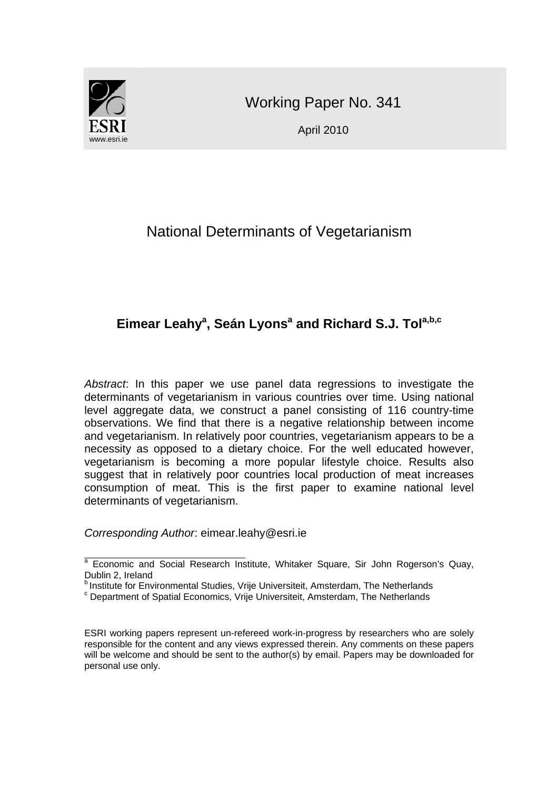

Working Paper No. 341

April 2010

# National Determinants of Vegetarianism

### Eimear Leahy<sup>a</sup>, Seán Lyons<sup>a</sup> and Richard S.J. Tol<sup>a,b,c</sup>

*Abstract*: In this paper we use panel data regressions to investigate the determinants of vegetarianism in various countries over time. Using national level aggregate data, we construct a panel consisting of 116 country-time observations. We find that there is a negative relationship between income and vegetarianism. In relatively poor countries, vegetarianism appears to be a necessity as opposed to a dietary choice. For the well educated however, vegetarianism is becoming a more popular lifestyle choice. Results also suggest that in relatively poor countries local production of meat increases consumption of meat. This is the first paper to examine national level determinants of vegetarianism.

*Corresponding Author*: eimear.leahy@esri.ie

ESRI working papers represent un-refereed work-in-progress by researchers who are solely responsible for the content and any views expressed therein. Any comments on these papers will be welcome and should be sent to the author(s) by email. Papers may be downloaded for personal use only.

a<br>A Economic and Social Research Institute, Whitaker Square, Sir John Rogerson's Quay, Dublin 2, Ireland

**b Institute for Environmental Studies, Vrije Universiteit, Amsterdam, The Netherlands** 

Department of Spatial Economics, Vrije Universiteit, Amsterdam, The Netherlands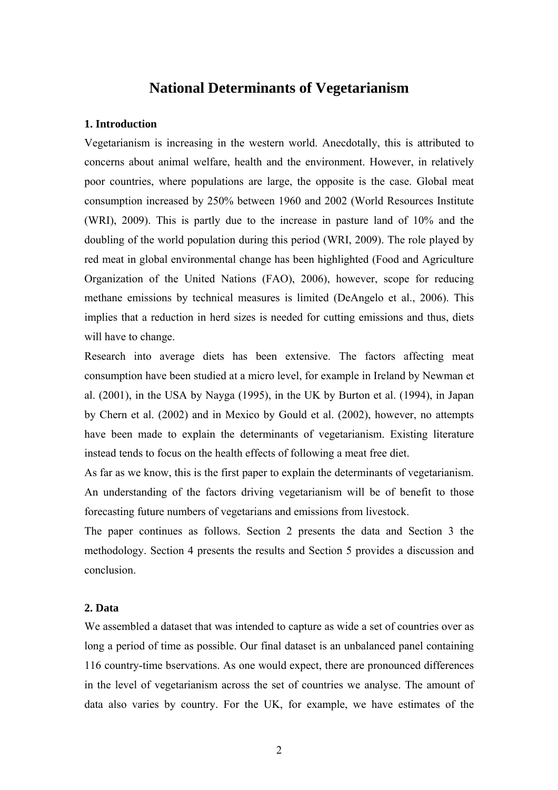# **National Determinants of Vegetarianism**

#### **1. Introduction**

Vegetarianism is increasing in the western world. Anecdotally, this is attributed to concerns about animal welfare, health and the environment. However, in relatively poor countries, where populations are large, the opposite is the case. Global meat consumption increased by 250% between 1960 and 2002 (World Resources Institute (WRI), 2009). This is partly due to the increase in pasture land of 10% and the doubling of the world population during this period (WRI, 2009). The role played by red meat in global environmental change has been highlighted (Food and Agriculture Organization of the United Nations (FAO), 2006), however, scope for reducing methane emissions by technical measures is limited (DeAngelo et al., 2006). This implies that a reduction in herd sizes is needed for cutting emissions and thus, diets will have to change.

Research into average diets has been extensive. The factors affecting meat consumption have been studied at a micro level, for example in Ireland by Newman et al. (2001), in the USA by Nayga (1995), in the UK by Burton et al. (1994), in Japan by Chern et al. (2002) and in Mexico by Gould et al. (2002), however, no attempts have been made to explain the determinants of vegetarianism. Existing literature instead tends to focus on the health effects of following a meat free diet.

As far as we know, this is the first paper to explain the determinants of vegetarianism. An understanding of the factors driving vegetarianism will be of benefit to those forecasting future numbers of vegetarians and emissions from livestock.

The paper continues as follows. Section 2 presents the data and Section 3 the methodology. Section 4 presents the results and Section 5 provides a discussion and conclusion.

#### **2. Data**

We assembled a dataset that was intended to capture as wide a set of countries over as long a period of time as possible. Our final dataset is an unbalanced panel containing 116 country-time bservations. As one would expect, there are pronounced differences in the level of vegetarianism across the set of countries we analyse. The amount of data also varies by country. For the UK, for example, we have estimates of the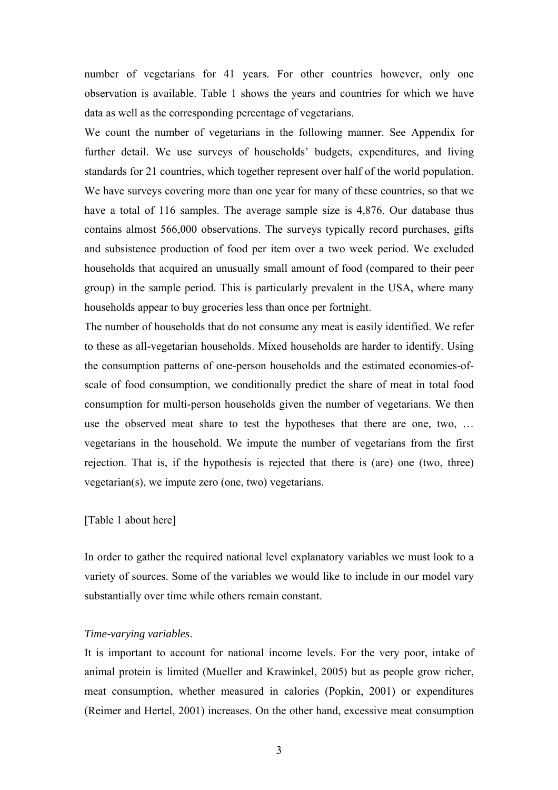number of vegetarians for 41 years. For other countries however, only one observation is available. Table 1 shows the years and countries for which we have data as well as the corresponding percentage of vegetarians.

We count the number of vegetarians in the following manner. See Appendix for further detail. We use surveys of households' budgets, expenditures, and living standards for 21 countries, which together represent over half of the world population. We have surveys covering more than one year for many of these countries, so that we have a total of 116 samples. The average sample size is 4,876. Our database thus contains almost 566,000 observations. The surveys typically record purchases, gifts and subsistence production of food per item over a two week period. We excluded households that acquired an unusually small amount of food (compared to their peer group) in the sample period. This is particularly prevalent in the USA, where many households appear to buy groceries less than once per fortnight.

The number of households that do not consume any meat is easily identified. We refer to these as all-vegetarian households. Mixed households are harder to identify. Using the consumption patterns of one-person households and the estimated economies-ofscale of food consumption, we conditionally predict the share of meat in total food consumption for multi-person households given the number of vegetarians. We then use the observed meat share to test the hypotheses that there are one, two, … vegetarians in the household. We impute the number of vegetarians from the first rejection. That is, if the hypothesis is rejected that there is (are) one (two, three) vegetarian(s), we impute zero (one, two) vegetarians.

#### [Table 1 about here]

In order to gather the required national level explanatory variables we must look to a variety of sources. Some of the variables we would like to include in our model vary substantially over time while others remain constant.

#### *Time-varying variables*.

It is important to account for national income levels. For the very poor, intake of animal protein is limited (Mueller and Krawinkel, 2005) but as people grow richer, meat consumption, whether measured in calories (Popkin, 2001) or expenditures (Reimer and Hertel, 2001) increases. On the other hand, excessive meat consumption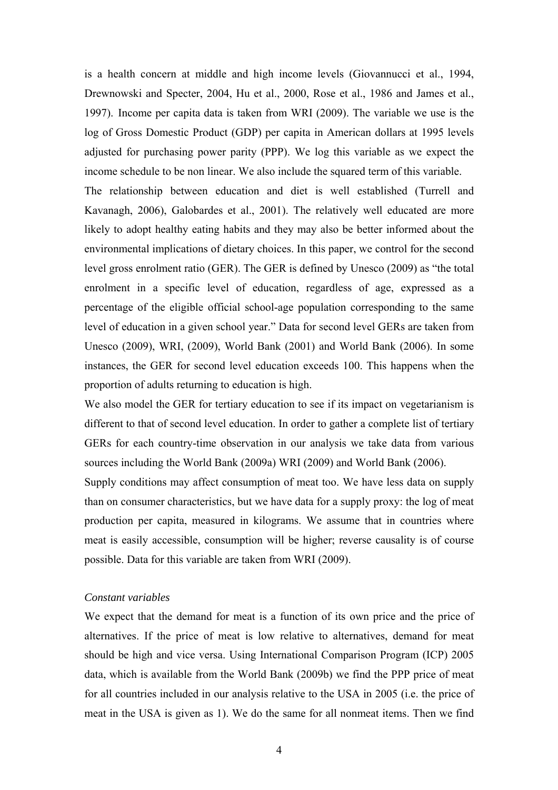is a health concern at middle and high income levels (Giovannucci et al., 1994, Drewnowski and Specter, 2004, Hu et al., 2000, Rose et al., 1986 and James et al., 1997). Income per capita data is taken from WRI (2009). The variable we use is the log of Gross Domestic Product (GDP) per capita in American dollars at 1995 levels adjusted for purchasing power parity (PPP). We log this variable as we expect the income schedule to be non linear. We also include the squared term of this variable.

The relationship between education and diet is well established (Turrell and Kavanagh, 2006), Galobardes et al., 2001). The relatively well educated are more likely to adopt healthy eating habits and they may also be better informed about the environmental implications of dietary choices. In this paper, we control for the second level gross enrolment ratio (GER). The GER is defined by Unesco (2009) as "the total enrolment in a specific level of education, regardless of age, expressed as a percentage of the eligible official school-age population corresponding to the same level of education in a given school year." Data for second level GERs are taken from Unesco (2009), WRI, (2009), World Bank (2001) and World Bank (2006). In some instances, the GER for second level education exceeds 100. This happens when the proportion of adults returning to education is high.

We also model the GER for tertiary education to see if its impact on vegetarianism is different to that of second level education. In order to gather a complete list of tertiary GERs for each country-time observation in our analysis we take data from various sources including the World Bank (2009a) WRI (2009) and World Bank (2006).

Supply conditions may affect consumption of meat too. We have less data on supply than on consumer characteristics, but we have data for a supply proxy: the log of meat production per capita, measured in kilograms. We assume that in countries where meat is easily accessible, consumption will be higher; reverse causality is of course possible. Data for this variable are taken from WRI (2009).

#### *Constant variables*

We expect that the demand for meat is a function of its own price and the price of alternatives. If the price of meat is low relative to alternatives, demand for meat should be high and vice versa. Using International Comparison Program (ICP) 2005 data, which is available from the World Bank (2009b) we find the PPP price of meat for all countries included in our analysis relative to the USA in 2005 (i.e. the price of meat in the USA is given as 1). We do the same for all nonmeat items. Then we find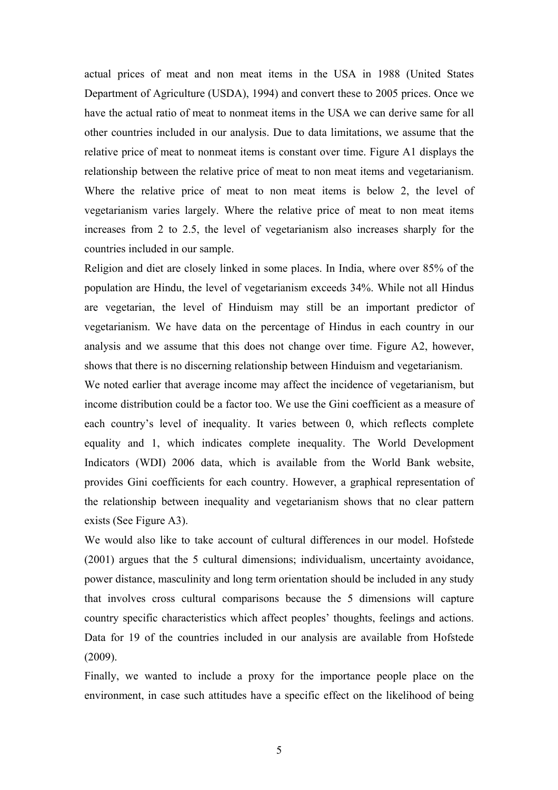actual prices of meat and non meat items in the USA in 1988 (United States Department of Agriculture (USDA), 1994) and convert these to 2005 prices. Once we have the actual ratio of meat to nonmeat items in the USA we can derive same for all other countries included in our analysis. Due to data limitations, we assume that the relative price of meat to nonmeat items is constant over time. Figure A1 displays the relationship between the relative price of meat to non meat items and vegetarianism. Where the relative price of meat to non meat items is below 2, the level of vegetarianism varies largely. Where the relative price of meat to non meat items increases from 2 to 2.5, the level of vegetarianism also increases sharply for the countries included in our sample.

Religion and diet are closely linked in some places. In India, where over 85% of the population are Hindu, the level of vegetarianism exceeds 34%. While not all Hindus are vegetarian, the level of Hinduism may still be an important predictor of vegetarianism. We have data on the percentage of Hindus in each country in our analysis and we assume that this does not change over time. Figure A2, however, shows that there is no discerning relationship between Hinduism and vegetarianism.

We noted earlier that average income may affect the incidence of vegetarianism, but income distribution could be a factor too. We use the Gini coefficient as a measure of each country's level of inequality. It varies between 0, which reflects complete equality and 1, which indicates complete inequality. The World Development Indicators (WDI) 2006 data, which is available from the World Bank website, provides Gini coefficients for each country. However, a graphical representation of the relationship between inequality and vegetarianism shows that no clear pattern exists (See Figure A3).

We would also like to take account of cultural differences in our model. Hofstede (2001) argues that the 5 cultural dimensions; individualism, uncertainty avoidance, power distance, masculinity and long term orientation should be included in any study that involves cross cultural comparisons because the 5 dimensions will capture country specific characteristics which affect peoples' thoughts, feelings and actions. Data for 19 of the countries included in our analysis are available from Hofstede (2009).

Finally, we wanted to include a proxy for the importance people place on the environment, in case such attitudes have a specific effect on the likelihood of being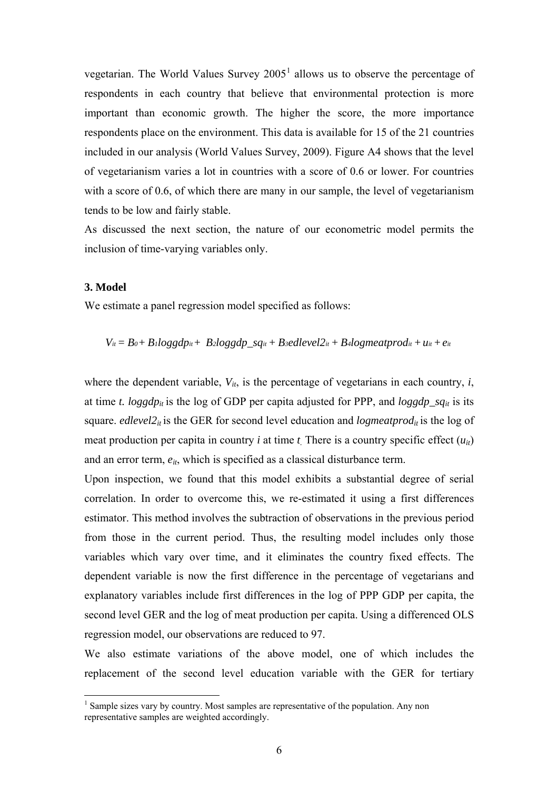vegetarian. The World Values Survey  $2005<sup>1</sup>$  $2005<sup>1</sup>$  $2005<sup>1</sup>$  allows us to observe the percentage of respondents in each country that believe that environmental protection is more important than economic growth. The higher the score, the more importance respondents place on the environment. This data is available for 15 of the 21 countries included in our analysis (World Values Survey, 2009). Figure A4 shows that the level of vegetarianism varies a lot in countries with a score of 0.6 or lower. For countries with a score of 0.6, of which there are many in our sample, the level of vegetarianism tends to be low and fairly stable.

As discussed the next section, the nature of our econometric model permits the inclusion of time-varying variables only.

#### **3. Model**

 $\overline{a}$ 

We estimate a panel regression model specified as follows:

$$
V_{it} = B_0 + B_l \log g d p_{it} + B_2 \log g d p_s q_{it} + B_3 \ell d |e v e l 2_{it} + B_4 \log m e a t p r o d_{it} + u_{it} + e_{it}
$$

where the dependent variable,  $V_{it}$ , is the percentage of vegetarians in each country,  $i$ , at time *t.*  $log g d p_{it}$  is the log of GDP per capita adjusted for PPP, and  $log g d p_{si}$  is its square. *edlevel* $2<sub>it</sub>$  is the GER for second level education and *logmeatprod<sub>it</sub>* is the log of meat production per capita in country *i* at time *t.* There is a country specific effect (*uit*) and an error term, *eit*, which is specified as a classical disturbance term.

Upon inspection, we found that this model exhibits a substantial degree of serial correlation. In order to overcome this, we re-estimated it using a first differences estimator. This method involves the subtraction of observations in the previous period from those in the current period. Thus, the resulting model includes only those variables which vary over time, and it eliminates the country fixed effects. The dependent variable is now the first difference in the percentage of vegetarians and explanatory variables include first differences in the log of PPP GDP per capita, the second level GER and the log of meat production per capita. Using a differenced OLS regression model, our observations are reduced to 97.

We also estimate variations of the above model, one of which includes the replacement of the second level education variable with the GER for tertiary

<span id="page-6-0"></span><sup>&</sup>lt;sup>1</sup> Sample sizes vary by country. Most samples are representative of the population. Any non representative samples are weighted accordingly.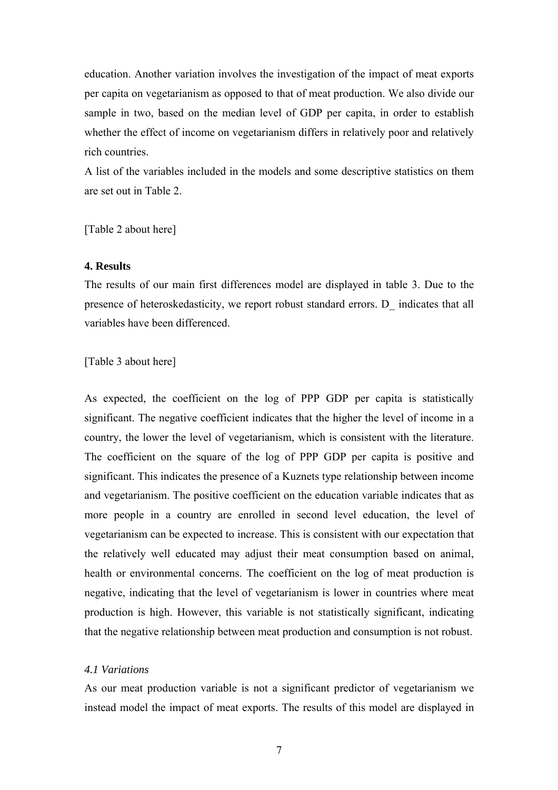education. Another variation involves the investigation of the impact of meat exports per capita on vegetarianism as opposed to that of meat production. We also divide our sample in two, based on the median level of GDP per capita, in order to establish whether the effect of income on vegetarianism differs in relatively poor and relatively rich countries.

A list of the variables included in the models and some descriptive statistics on them are set out in Table 2.

[Table 2 about here]

#### **4. Results**

The results of our main first differences model are displayed in table 3. Due to the presence of heteroskedasticity, we report robust standard errors. D\_ indicates that all variables have been differenced.

[Table 3 about here]

As expected, the coefficient on the log of PPP GDP per capita is statistically significant. The negative coefficient indicates that the higher the level of income in a country, the lower the level of vegetarianism, which is consistent with the literature. The coefficient on the square of the log of PPP GDP per capita is positive and significant. This indicates the presence of a Kuznets type relationship between income and vegetarianism. The positive coefficient on the education variable indicates that as more people in a country are enrolled in second level education, the level of vegetarianism can be expected to increase. This is consistent with our expectation that the relatively well educated may adjust their meat consumption based on animal, health or environmental concerns. The coefficient on the log of meat production is negative, indicating that the level of vegetarianism is lower in countries where meat production is high. However, this variable is not statistically significant, indicating that the negative relationship between meat production and consumption is not robust.

#### *4.1 Variations*

As our meat production variable is not a significant predictor of vegetarianism we instead model the impact of meat exports. The results of this model are displayed in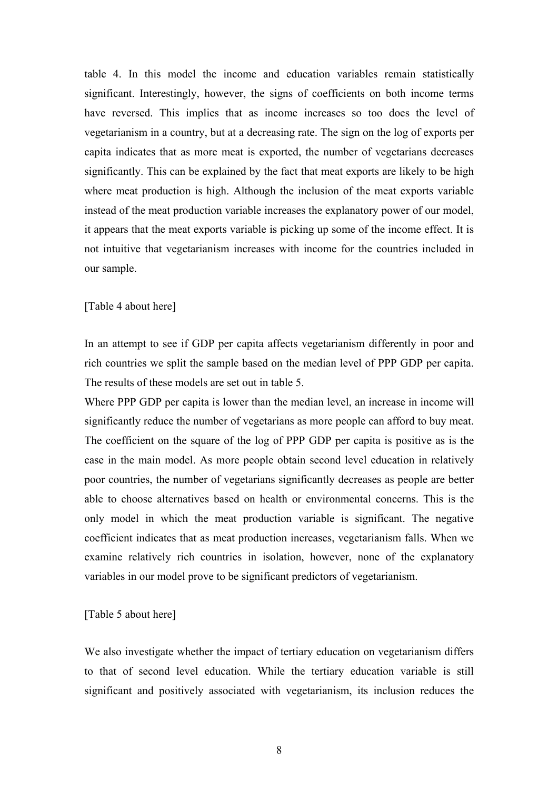table 4. In this model the income and education variables remain statistically significant. Interestingly, however, the signs of coefficients on both income terms have reversed. This implies that as income increases so too does the level of vegetarianism in a country, but at a decreasing rate. The sign on the log of exports per capita indicates that as more meat is exported, the number of vegetarians decreases significantly. This can be explained by the fact that meat exports are likely to be high where meat production is high. Although the inclusion of the meat exports variable instead of the meat production variable increases the explanatory power of our model, it appears that the meat exports variable is picking up some of the income effect. It is not intuitive that vegetarianism increases with income for the countries included in our sample.

#### [Table 4 about here]

In an attempt to see if GDP per capita affects vegetarianism differently in poor and rich countries we split the sample based on the median level of PPP GDP per capita. The results of these models are set out in table 5.

Where PPP GDP per capita is lower than the median level, an increase in income will significantly reduce the number of vegetarians as more people can afford to buy meat. The coefficient on the square of the log of PPP GDP per capita is positive as is the case in the main model. As more people obtain second level education in relatively poor countries, the number of vegetarians significantly decreases as people are better able to choose alternatives based on health or environmental concerns. This is the only model in which the meat production variable is significant. The negative coefficient indicates that as meat production increases, vegetarianism falls. When we examine relatively rich countries in isolation, however, none of the explanatory variables in our model prove to be significant predictors of vegetarianism.

#### [Table 5 about here]

We also investigate whether the impact of tertiary education on vegetarianism differs to that of second level education. While the tertiary education variable is still significant and positively associated with vegetarianism, its inclusion reduces the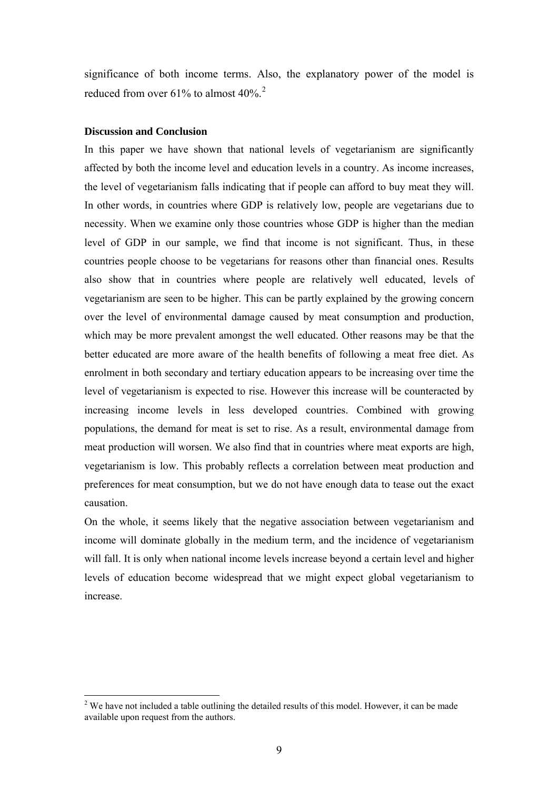significance of both income terms. Also, the explanatory power of the model is reduced from over 61% to almost  $40\%$ .<sup>[2](#page-9-0)</sup>

#### **Discussion and Conclusion**

 $\overline{a}$ 

In this paper we have shown that national levels of vegetarianism are significantly affected by both the income level and education levels in a country. As income increases, the level of vegetarianism falls indicating that if people can afford to buy meat they will. In other words, in countries where GDP is relatively low, people are vegetarians due to necessity. When we examine only those countries whose GDP is higher than the median level of GDP in our sample, we find that income is not significant. Thus, in these countries people choose to be vegetarians for reasons other than financial ones. Results also show that in countries where people are relatively well educated, levels of vegetarianism are seen to be higher. This can be partly explained by the growing concern over the level of environmental damage caused by meat consumption and production, which may be more prevalent amongst the well educated. Other reasons may be that the better educated are more aware of the health benefits of following a meat free diet. As enrolment in both secondary and tertiary education appears to be increasing over time the level of vegetarianism is expected to rise. However this increase will be counteracted by increasing income levels in less developed countries. Combined with growing populations, the demand for meat is set to rise. As a result, environmental damage from meat production will worsen. We also find that in countries where meat exports are high, vegetarianism is low. This probably reflects a correlation between meat production and preferences for meat consumption, but we do not have enough data to tease out the exact causation.

On the whole, it seems likely that the negative association between vegetarianism and income will dominate globally in the medium term, and the incidence of vegetarianism will fall. It is only when national income levels increase beyond a certain level and higher levels of education become widespread that we might expect global vegetarianism to increase.

<span id="page-9-0"></span> $2^2$  We have not included a table outlining the detailed results of this model. However, it can be made available upon request from the authors.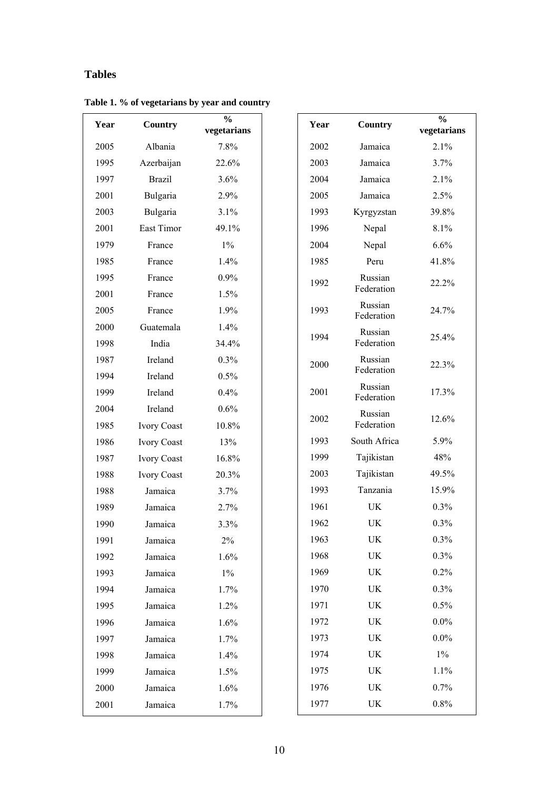### **Tables**

| Year | <b>Country</b>     | $\%$<br>vegetarians |  |
|------|--------------------|---------------------|--|
| 2005 | Albania            | 7.8%                |  |
| 1995 | Azerbaijan         | 22.6%               |  |
| 1997 | <b>Brazil</b>      | 3.6%                |  |
| 2001 | Bulgaria           | 2.9%                |  |
| 2003 | Bulgaria           | 3.1%                |  |
| 2001 | East Timor         | 49.1%               |  |
| 1979 | France             | $1\%$               |  |
| 1985 | France             | 1.4%                |  |
| 1995 | France             | 0.9%                |  |
| 2001 | France             | 1.5%                |  |
| 2005 | France             | 1.9%                |  |
| 2000 | Guatemala          | 1.4%                |  |
| 1998 | India              | 34.4%               |  |
| 1987 | Ireland            | $0.3\%$             |  |
| 1994 | Ireland            | 0.5%                |  |
| 1999 | Ireland            | 0.4%                |  |
| 2004 | Ireland            | 0.6%                |  |
| 1985 | <b>Ivory Coast</b> | 10.8%               |  |
| 1986 | <b>Ivory Coast</b> | 13%                 |  |
| 1987 | Ivory Coast        | 16.8%               |  |
| 1988 | <b>Ivory Coast</b> | 20.3%               |  |
| 1988 | Jamaica            | 3.7%                |  |
| 1989 | Jamaica            | 2.7%                |  |
| 1990 | Jamaica            | 3.3%                |  |
| 1991 | Jamaica            | 2%                  |  |
| 1992 | Jamaica            | 1.6%                |  |
| 1993 | Jamaica            | $1\%$               |  |
| 1994 | Jamaica            | 1.7%                |  |
| 1995 | Jamaica            | 1.2%                |  |
| 1996 | Jamaica            | 1.6%                |  |
| 1997 | Jamaica            | 1.7%                |  |
| 1998 | Jamaica            | 1.4%                |  |
| 1999 | Jamaica            | 1.5%                |  |
| 2000 | Jamaica            | 1.6%                |  |
| 2001 | Jamaica            | 1.7%                |  |

| Year | Country               | $\frac{0}{0}$<br>vegetarians |
|------|-----------------------|------------------------------|
| 2002 | Jamaica               | 2.1%                         |
| 2003 | Jamaica               | 3.7%                         |
| 2004 | Jamaica               | 2.1%                         |
| 2005 | Jamaica               | 2.5%                         |
| 1993 | Kyrgyzstan            | 39.8%                        |
| 1996 | Nepal                 | 8.1%                         |
| 2004 | Nepal                 | 6.6%                         |
| 1985 | Peru                  | 41.8%                        |
| 1992 | Russian<br>Federation | 22.2%                        |
| 1993 | Russian<br>Federation | 24.7%                        |
| 1994 | Russian<br>Federation | 25.4%                        |
| 2000 | Russian<br>Federation | 22.3%                        |
| 2001 | Russian<br>Federation | 17.3%                        |
| 2002 | Russian<br>Federation | 12.6%                        |
| 1993 | South Africa          | 5.9%                         |
| 1999 | Tajikistan            | 48%                          |
| 2003 | Tajikistan            | 49.5%                        |
| 1993 | Tanzania              | 15.9%                        |
| 1961 | UK                    | 0.3%                         |
| 1962 | UK                    | 0.3%                         |
| 1963 | UK                    | $0.3\%$                      |
| 1968 | UK                    | 0.3%                         |
| 1969 | UK                    | 0.2%                         |
| 1970 | UK                    | 0.3%                         |
| 1971 | UK                    | 0.5%                         |
| 1972 | UK                    | $0.0\%$                      |
| 1973 | UK                    | $0.0\%$                      |
| 1974 | UK                    | $1\%$                        |
| 1975 | UK                    | 1.1%                         |
| 1976 | UK                    | 0.7%                         |
| 1977 | UK                    | 0.8%                         |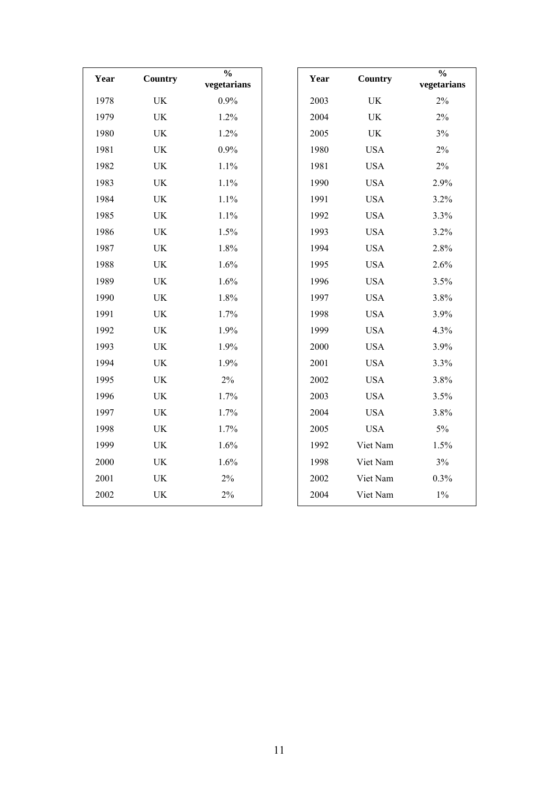| Year | <b>Country</b>                  | $\frac{0}{0}$<br>vegetarians | Year | Country                         | $\frac{1}{2}$<br>vegetarians |
|------|---------------------------------|------------------------------|------|---------------------------------|------------------------------|
| 1978 | UK                              | 0.9%                         | 2003 | $\ensuremath{\text{UK}}\xspace$ | $2\%$                        |
| 1979 | UK                              | 1.2%                         | 2004 | $\ensuremath{\text{UK}}\xspace$ | $2\%$                        |
| 1980 | UK                              | 1.2%                         | 2005 | UK                              | 3%                           |
| 1981 | UK                              | 0.9%                         | 1980 | <b>USA</b>                      | 2%                           |
| 1982 | UK                              | 1.1%                         | 1981 | <b>USA</b>                      | $2\%$                        |
| 1983 | UK                              | 1.1%                         | 1990 | <b>USA</b>                      | 2.9%                         |
| 1984 | UK                              | 1.1%                         | 1991 | <b>USA</b>                      | 3.2%                         |
| 1985 | UK                              | 1.1%                         | 1992 | <b>USA</b>                      | 3.3%                         |
| 1986 | $\ensuremath{\text{UK}}\xspace$ | 1.5%                         | 1993 | <b>USA</b>                      | 3.2%                         |
| 1987 | UK                              | 1.8%                         | 1994 | <b>USA</b>                      | 2.8%                         |
| 1988 | UK                              | 1.6%                         | 1995 | <b>USA</b>                      | 2.6%                         |
| 1989 | UK                              | 1.6%                         | 1996 | <b>USA</b>                      | 3.5%                         |
| 1990 | UK                              | 1.8%                         | 1997 | <b>USA</b>                      | 3.8%                         |
| 1991 | UK                              | 1.7%                         | 1998 | <b>USA</b>                      | 3.9%                         |
| 1992 | UK                              | 1.9%                         | 1999 | <b>USA</b>                      | 4.3%                         |
| 1993 | UK                              | 1.9%                         | 2000 | <b>USA</b>                      | 3.9%                         |
| 1994 | $\ensuremath{\text{UK}}\xspace$ | 1.9%                         | 2001 | <b>USA</b>                      | 3.3%                         |
| 1995 | UK                              | $2\%$                        | 2002 | <b>USA</b>                      | 3.8%                         |
| 1996 | UK                              | 1.7%                         | 2003 | <b>USA</b>                      | 3.5%                         |
| 1997 | UK                              | 1.7%                         | 2004 | <b>USA</b>                      | 3.8%                         |
| 1998 | UK                              | 1.7%                         | 2005 | <b>USA</b>                      | $5\%$                        |
| 1999 | UK                              | 1.6%                         | 1992 | Viet Nam                        | 1.5%                         |
| 2000 | UK                              | 1.6%                         | 1998 | Viet Nam                        | $3\%$                        |
| 2001 | $\ensuremath{\text{UK}}\xspace$ | $2\%$                        | 2002 | Viet Nam                        | 0.3%                         |
| 2002 | UK                              | $2\%$                        | 2004 | Viet Nam                        | $1\%$                        |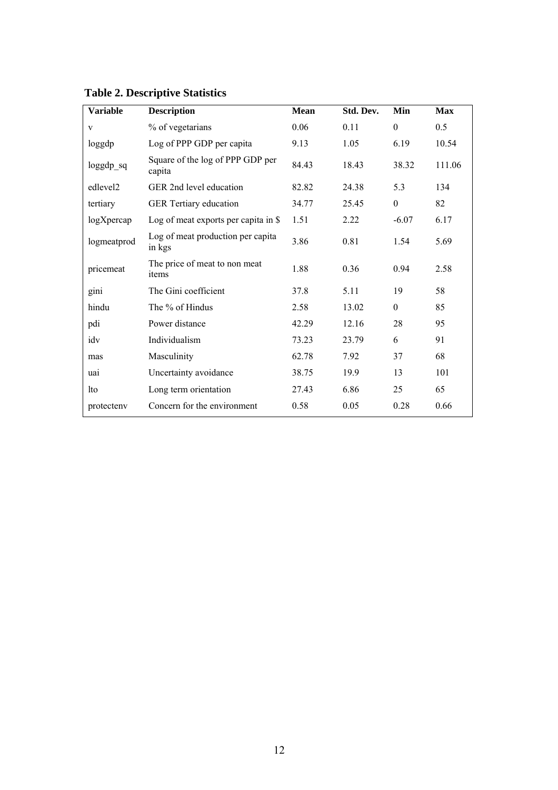| <b>Variable</b>      | <b>Description</b>                          | <b>Mean</b> | Std. Dev. | Min              | <b>Max</b> |
|----------------------|---------------------------------------------|-------------|-----------|------------------|------------|
| V                    | % of vegetarians                            | 0.06        | 0.11      | $\boldsymbol{0}$ | 0.5        |
| loggdp               | Log of PPP GDP per capita                   | 9.13        | 1.05      | 6.19             | 10.54      |
| loggdp_sq            | Square of the log of PPP GDP per<br>capita  | 84.43       | 18.43     | 38.32            | 111.06     |
| edlevel <sub>2</sub> | GER 2nd level education                     | 82.82       | 24.38     | 5.3              | 134        |
| tertiary             | GER Tertiary education                      | 34.77       | 25.45     | $\boldsymbol{0}$ | 82         |
| logXpercap           | Log of meat exports per capita in \$        | 1.51        | 2.22      | $-6.07$          | 6.17       |
| logmeatprod          | Log of meat production per capita<br>in kgs | 3.86        | 0.81      | 1.54             | 5.69       |
| pricemeat            | The price of meat to non meat<br>items      | 1.88        | 0.36      | 0.94             | 2.58       |
| gini                 | The Gini coefficient                        | 37.8        | 5.11      | 19               | 58         |
| hindu                | The % of Hindus                             | 2.58        | 13.02     | $\boldsymbol{0}$ | 85         |
| pdi                  | Power distance                              | 42.29       | 12.16     | 28               | 95         |
| idv                  | Individualism                               | 73.23       | 23.79     | 6                | 91         |
| mas                  | Masculinity                                 | 62.78       | 7.92      | 37               | 68         |
| uai                  | Uncertainty avoidance                       | 38.75       | 19.9      | 13               | 101        |
| <b>lto</b>           | Long term orientation                       | 27.43       | 6.86      | 25               | 65         |
| protecteny           | Concern for the environment                 | 0.58        | 0.05      | 0.28             | 0.66       |

### **Table 2. Descriptive Statistics**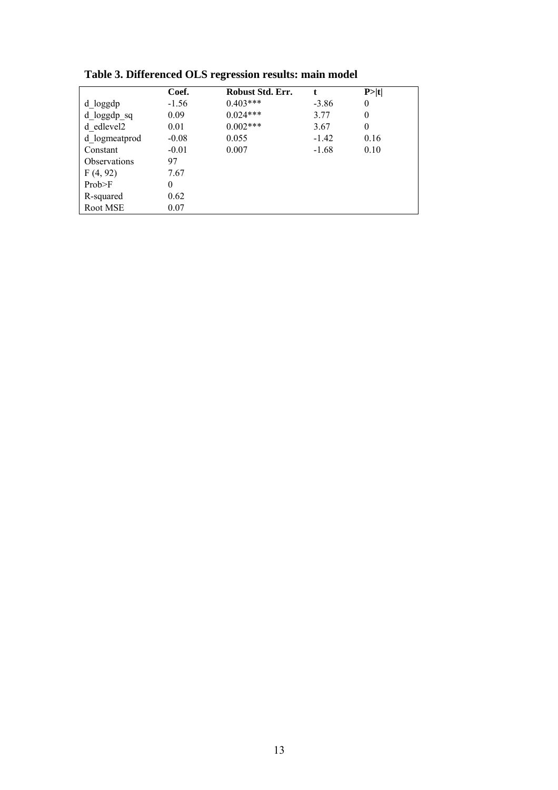|                        | Coef.    | Robust Std. Err. |         | P> t |
|------------------------|----------|------------------|---------|------|
| d_loggdp               | $-1.56$  | $0.403***$       | $-3.86$ | 0    |
| $d$ loggdp sq          | 0.09     | $0.024***$       | 3.77    | 0    |
| d edlevel <sub>2</sub> | 0.01     | $0.002***$       | 3.67    | 0    |
| d logmeatprod          | $-0.08$  | 0.055            | $-1.42$ | 0.16 |
| Constant               | $-0.01$  | 0.007            | $-1.68$ | 0.10 |
| <b>Observations</b>    | 97       |                  |         |      |
| F(4, 92)               | 7.67     |                  |         |      |
| Prob>F                 | $\theta$ |                  |         |      |
| R-squared              | 0.62     |                  |         |      |
| Root MSE               | 0.07     |                  |         |      |

**Table 3. Differenced OLS regression results: main model**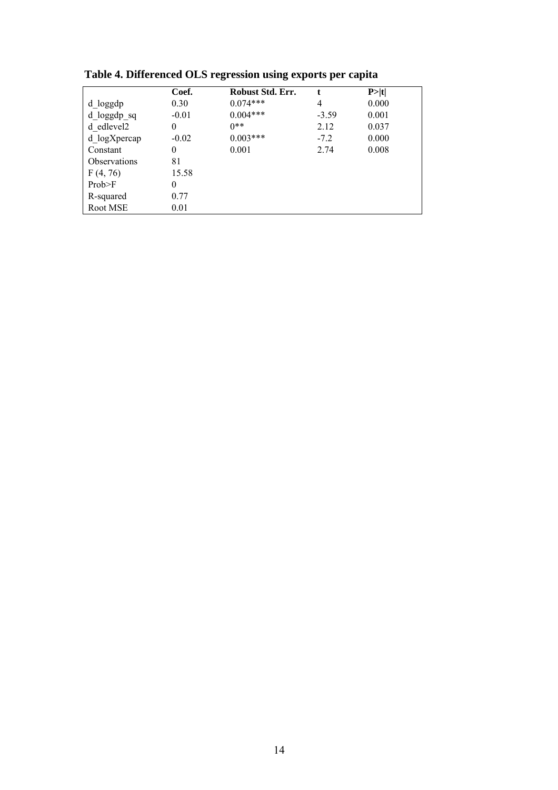|                     | Coef.    | Robust Std. Err. | t       | P >  t |
|---------------------|----------|------------------|---------|--------|
| d loggdp            | 0.30     | $0.074***$       | 4       | 0.000  |
| d loggdp sq         | $-0.01$  | $0.004***$       | $-3.59$ | 0.001  |
| d edlevel2          | 0        | $0**$            | 2.12    | 0.037  |
| d logXpercap        | $-0.02$  | $0.003***$       | $-7.2$  | 0.000  |
| Constant            | 0        | 0.001            | 2.74    | 0.008  |
| <b>Observations</b> | 81       |                  |         |        |
| F(4, 76)            | 15.58    |                  |         |        |
| Prob>F              | $\theta$ |                  |         |        |
| R-squared           | 0.77     |                  |         |        |
| Root MSE            | 0.01     |                  |         |        |

**Table 4. Differenced OLS regression using exports per capita**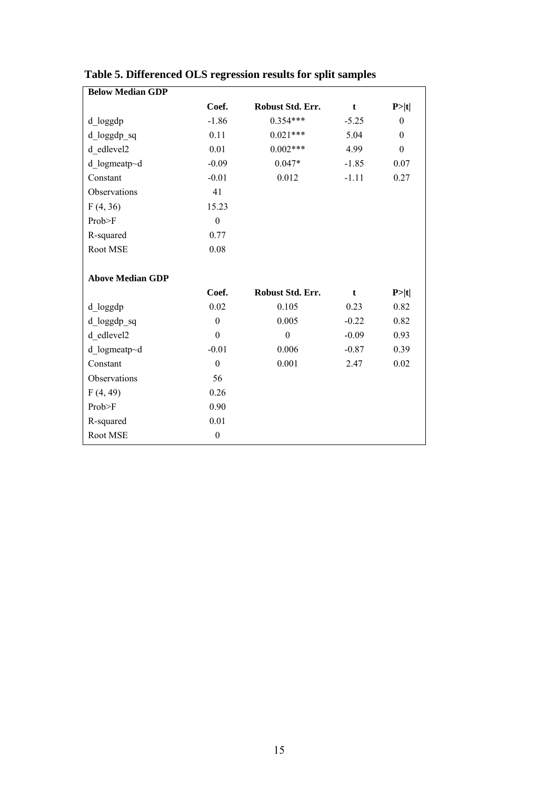| <b>Below Median GDP</b> |                  |                  |         |                  |
|-------------------------|------------------|------------------|---------|------------------|
|                         | Coef.            | Robust Std. Err. | t       | P> t             |
| d_loggdp                | $-1.86$          | $0.354***$       | $-5.25$ | $\theta$         |
| d_loggdp_sq             | 0.11             | $0.021***$       | 5.04    | $\theta$         |
| d edlevel2              | 0.01             | $0.002***$       | 4.99    | $\boldsymbol{0}$ |
| d logmeatp~d            | $-0.09$          | $0.047*$         | $-1.85$ | 0.07             |
| Constant                | $-0.01$          | 0.012            | $-1.11$ | 0.27             |
| Observations            | 41               |                  |         |                  |
| F(4, 36)                | 15.23            |                  |         |                  |
| Prob>F                  | $\boldsymbol{0}$ |                  |         |                  |
| R-squared               | 0.77             |                  |         |                  |
| Root MSE                | 0.08             |                  |         |                  |
|                         |                  |                  |         |                  |
| <b>Above Median GDP</b> |                  |                  |         |                  |
|                         | Coef.            | Robust Std. Err. | t       | P> t             |
| d_loggdp                | 0.02             | 0.105            | 0.23    | 0.82             |
| d_loggdp_sq             | $\boldsymbol{0}$ | 0.005            | $-0.22$ | 0.82             |
| d edlevel2              | $\boldsymbol{0}$ | $\boldsymbol{0}$ | $-0.09$ | 0.93             |
| d logmeatp~d            | $-0.01$          | 0.006            | $-0.87$ | 0.39             |
| Constant                | $\boldsymbol{0}$ | 0.001            | 2.47    | 0.02             |
| Observations            | 56               |                  |         |                  |
| F(4, 49)                | 0.26             |                  |         |                  |
| Prob>F                  | 0.90             |                  |         |                  |
| R-squared               | 0.01             |                  |         |                  |
| Root MSE                | $\boldsymbol{0}$ |                  |         |                  |

### **Table 5. Differenced OLS regression results for split samples**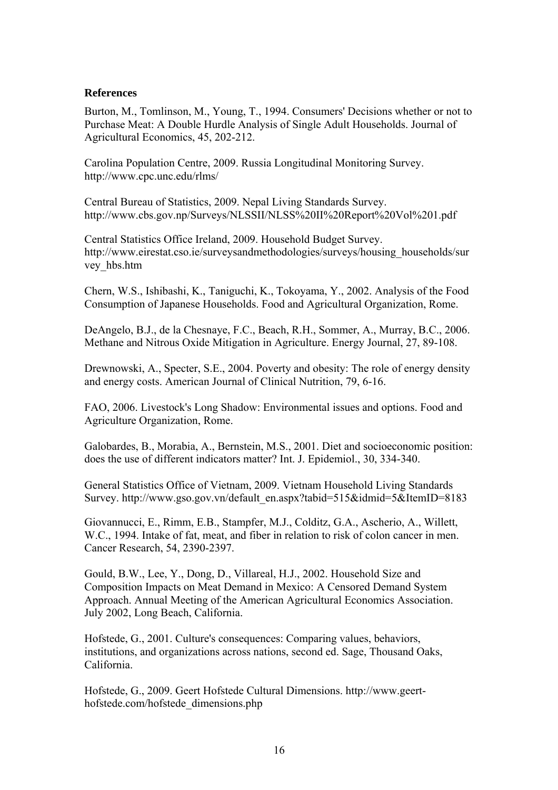### **References**

Burton, M., Tomlinson, M., Young, T., 1994. Consumers' Decisions whether or not to Purchase Meat: A Double Hurdle Analysis of Single Adult Households. Journal of Agricultural Economics, 45, 202-212.

Carolina Population Centre, 2009. Russia Longitudinal Monitoring Survey. http://www.cpc.unc.edu/rlms/

Central Bureau of Statistics, 2009. Nepal Living Standards Survey. http://www.cbs.gov.np/Surveys/NLSSII/NLSS%20II%20Report%20Vol%201.pdf

Central Statistics Office Ireland, 2009. Household Budget Survey. [http://www.eirestat.cso.ie/surveysandmethodologies/surveys/housing\\_households/sur](http://www.eirestat.cso.ie/surveysandmethodologies/surveys/housing_households/survey_hbs.htm) [vey\\_hbs.htm](http://www.eirestat.cso.ie/surveysandmethodologies/surveys/housing_households/survey_hbs.htm) 

Chern, W.S., Ishibashi, K., Taniguchi, K., Tokoyama, Y., 2002. Analysis of the Food Consumption of Japanese Households. Food and Agricultural Organization, Rome.

DeAngelo, B.J., de la Chesnaye, F.C., Beach, R.H., Sommer, A., Murray, B.C., 2006. Methane and Nitrous Oxide Mitigation in Agriculture. Energy Journal, 27, 89-108.

Drewnowski, A., Specter, S.E., 2004. Poverty and obesity: The role of energy density and energy costs. American Journal of Clinical Nutrition, 79, 6-16.

FAO, 2006. Livestock's Long Shadow: Environmental issues and options. Food and Agriculture Organization, Rome.

Galobardes, B., Morabia, A., Bernstein, M.S., 2001. Diet and socioeconomic position: does the use of different indicators matter? Int. J. Epidemiol., 30, 334-340.

General Statistics Office of Vietnam, 2009. Vietnam Household Living Standards Survey. [http://www.gso.gov.vn/default\\_en.aspx?tabid=515&idmid=5&ItemID=8183](http://www.gso.gov.vn/default_en.aspx?tabid=515&idmid=5&ItemID=8183)

Giovannucci, E., Rimm, E.B., Stampfer, M.J., Colditz, G.A., Ascherio, A., Willett, W.C., 1994. Intake of fat, meat, and fiber in relation to risk of colon cancer in men. Cancer Research, 54, 2390-2397.

Gould, B.W., Lee, Y., Dong, D., Villareal, H.J., 2002. Household Size and Composition Impacts on Meat Demand in Mexico: A Censored Demand System Approach. Annual Meeting of the American Agricultural Economics Association. July 2002, Long Beach, California.

Hofstede, G., 2001. Culture's consequences: Comparing values, behaviors, institutions, and organizations across nations, second ed. Sage, Thousand Oaks, California.

Hofstede, G., 2009. Geert Hofstede Cultural Dimensions. http://www.geerthofstede.com/hofstede\_dimensions.php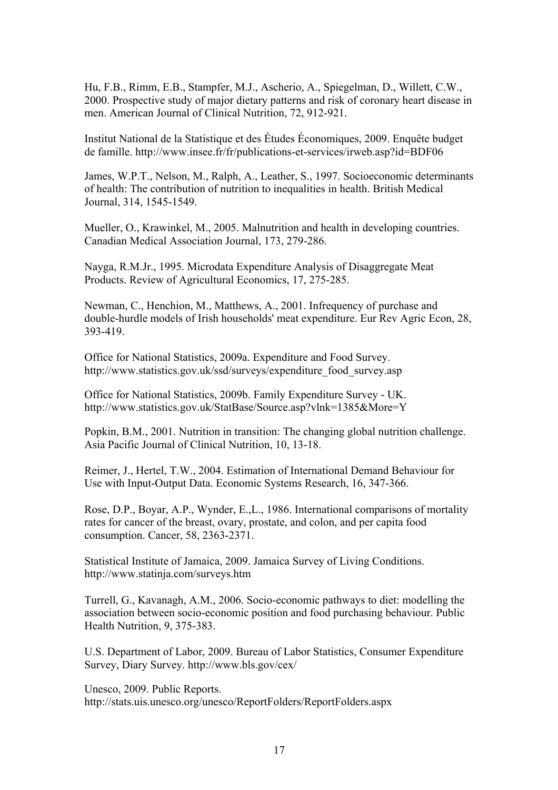Hu, F.B., Rimm, E.B., Stampfer, M.J., Ascherio, A., Spiegelman, D., Willett, C.W., 2000. Prospective study of major dietary patterns and risk of coronary heart disease in men. American Journal of Clinical Nutrition, 72, 912-921.

Institut National de la Statistique et des Études Économiques, 2009. Enquête budget de famille. http://www.insee.fr/fr/publications-et-services/irweb.asp?id=BDF06

James, W.P.T., Nelson, M., Ralph, A., Leather, S., 1997. Socioeconomic determinants of health: The contribution of nutrition to inequalities in health. British Medical Journal, 314, 1545-1549.

Mueller, O., Krawinkel, M., 2005. Malnutrition and health in developing countries. Canadian Medical Association Journal, 173, 279-286.

Nayga, R.M.Jr., 1995. Microdata Expenditure Analysis of Disaggregate Meat Products. Review of Agricultural Economics, 17, 275-285.

Newman, C., Henchion, M., Matthews, A., 2001. Infrequency of purchase and double-hurdle models of Irish households' meat expenditure. Eur Rev Agric Econ, 28, 393-419.

Office for National Statistics, 2009a. Expenditure and Food Survey. [http://www.statistics.gov.uk/ssd/surveys/expenditure\\_food\\_survey.asp](http://www.statistics.gov.uk/ssd/surveys/expenditure_food_survey.asp) 

Office for National Statistics, 2009b. Family Expenditure Survey - UK. http://www.statistics.gov.uk/StatBase/Source.asp?vlnk=1385&More=Y

Popkin, B.M., 2001. Nutrition in transition: The changing global nutrition challenge. Asia Pacific Journal of Clinical Nutrition, 10, 13-18.

Reimer, J., Hertel, T.W., 2004. Estimation of International Demand Behaviour for Use with Input-Output Data. Economic Systems Research, 16, 347-366.

Rose, D.P., Boyar, A.P., Wynder, E.,L., 1986. International comparisons of mortality rates for cancer of the breast, ovary, prostate, and colon, and per capita food consumption. Cancer, 58, 2363-2371.

Statistical Institute of Jamaica, 2009. Jamaica Survey of Living Conditions. <http://www.statinja.com/surveys.htm>

Turrell, G., Kavanagh, A.M., 2006. Socio-economic pathways to diet: modelling the association between socio-economic position and food purchasing behaviour. Public Health Nutrition, 9, 375-383.

U.S. Department of Labor, 2009. Bureau of Labor Statistics, Consumer Expenditure Survey, Diary Survey.<http://www.bls.gov/cex/>

Unesco, 2009. Public Reports. http://stats.uis.unesco.org/unesco/ReportFolders/ReportFolders.aspx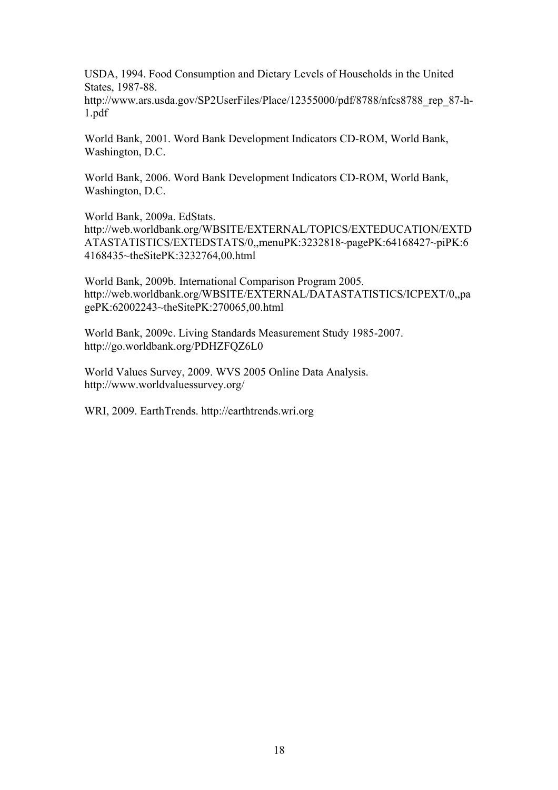USDA, 1994. Food Consumption and Dietary Levels of Households in the United States, 1987-88.

http://www.ars.usda.gov/SP2UserFiles/Place/12355000/pdf/8788/nfcs8788\_rep\_87-h-1.pdf

World Bank, 2001. Word Bank Development Indicators CD-ROM, World Bank, Washington, D.C.

World Bank, 2006. Word Bank Development Indicators CD-ROM, World Bank, Washington, D.C.

World Bank, 2009a. EdStats.

http://web.worldbank.org/WBSITE/EXTERNAL/TOPICS/EXTEDUCATION/EXTD ATASTATISTICS/EXTEDSTATS/0,,menuPK:3232818~pagePK:64168427~piPK:6 4168435~theSitePK:3232764,00.html

World Bank, 2009b. International Comparison Program 2005. http://web.worldbank.org/WBSITE/EXTERNAL/DATASTATISTICS/ICPEXT/0,,pa gePK:62002243~theSitePK:270065,00.html

World Bank, 2009c. Living Standards Measurement Study 1985-2007. http://go.worldbank.org/PDHZFQZ6L0

World Values Survey, 2009. WVS 2005 Online Data Analysis. http://www.worldvaluessurvey.org/

WRI, 2009. EarthTrends. http://earthtrends.wri.org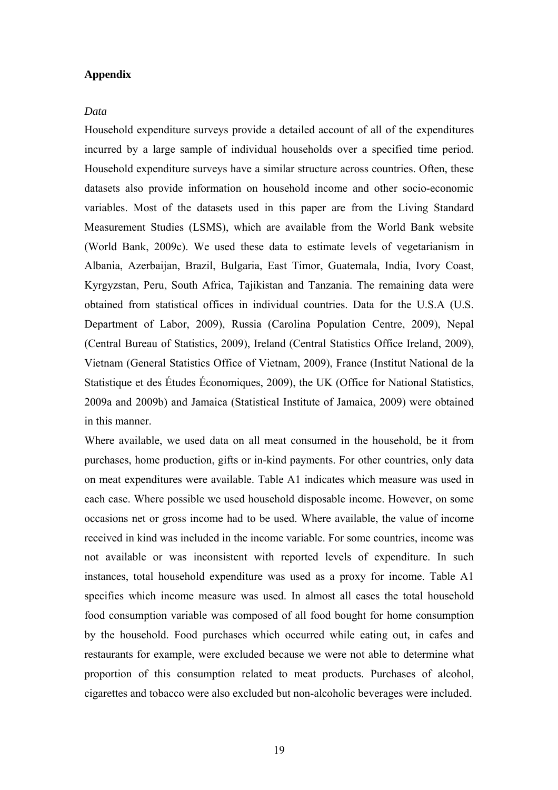### **Appendix**

#### *Data*

Household expenditure surveys provide a detailed account of all of the expenditures incurred by a large sample of individual households over a specified time period. Household expenditure surveys have a similar structure across countries. Often, these datasets also provide information on household income and other socio-economic variables. Most of the datasets used in this paper are from the Living Standard Measurement Studies (LSMS), which are available from the World Bank website (World Bank, 2009c). We used these data to estimate levels of vegetarianism in Albania, Azerbaijan, Brazil, Bulgaria, East Timor, Guatemala, India, Ivory Coast, Kyrgyzstan, Peru, South Africa, Tajikistan and Tanzania. The remaining data were obtained from statistical offices in individual countries. Data for the U.S.A (U.S. Department of Labor, 2009), Russia (Carolina Population Centre, 2009), Nepal (Central Bureau of Statistics, 2009), Ireland (Central Statistics Office Ireland, 2009), Vietnam (General Statistics Office of Vietnam, 2009), France (Institut National de la Statistique et des Études Économiques, 2009), the UK (Office for National Statistics, 2009a and 2009b) and Jamaica (Statistical Institute of Jamaica, 2009) were obtained in this manner.

Where available, we used data on all meat consumed in the household, be it from purchases, home production, gifts or in-kind payments. For other countries, only data on meat expenditures were available. Table A1 indicates which measure was used in each case. Where possible we used household disposable income. However, on some occasions net or gross income had to be used. Where available, the value of income received in kind was included in the income variable. For some countries, income was not available or was inconsistent with reported levels of expenditure. In such instances, total household expenditure was used as a proxy for income. Table A1 specifies which income measure was used. In almost all cases the total household food consumption variable was composed of all food bought for home consumption by the household. Food purchases which occurred while eating out, in cafes and restaurants for example, were excluded because we were not able to determine what proportion of this consumption related to meat products. Purchases of alcohol, cigarettes and tobacco were also excluded but non-alcoholic beverages were included.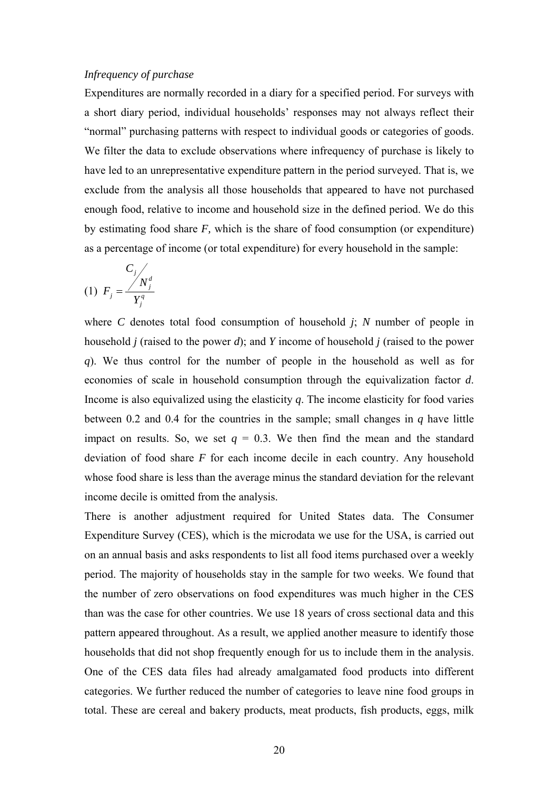#### *Infrequency of purchase*

Expenditures are normally recorded in a diary for a specified period. For surveys with a short diary period, individual households' responses may not always reflect their "normal" purchasing patterns with respect to individual goods or categories of goods. We filter the data to exclude observations where infrequency of purchase is likely to have led to an unrepresentative expenditure pattern in the period surveyed. That is, we exclude from the analysis all those households that appeared to have not purchased enough food, relative to income and household size in the defined period. We do this by estimating food share *F,* which is the share of food consumption (or expenditure) as a percentage of income (or total expenditure) for every household in the sample:

$$
(1) \tF_j = \frac{C_j}{Y_j^q}
$$

where *C* denotes total food consumption of household *j*; *N* number of people in household *j* (raised to the power *d*); and *Y* income of household *j* (raised to the power *q*). We thus control for the number of people in the household as well as for economies of scale in household consumption through the equivalization factor *d*. Income is also equivalized using the elasticity *q*. The income elasticity for food varies between 0.2 and 0.4 for the countries in the sample; small changes in *q* have little impact on results. So, we set  $q = 0.3$ . We then find the mean and the standard deviation of food share *F* for each income decile in each country. Any household whose food share is less than the average minus the standard deviation for the relevant income decile is omitted from the analysis.

There is another adjustment required for United States data. The Consumer Expenditure Survey (CES), which is the microdata we use for the USA, is carried out on an annual basis and asks respondents to list all food items purchased over a weekly period. The majority of households stay in the sample for two weeks. We found that the number of zero observations on food expenditures was much higher in the CES than was the case for other countries. We use 18 years of cross sectional data and this pattern appeared throughout. As a result, we applied another measure to identify those households that did not shop frequently enough for us to include them in the analysis. One of the CES data files had already amalgamated food products into different categories. We further reduced the number of categories to leave nine food groups in total. These are cereal and bakery products, meat products, fish products, eggs, milk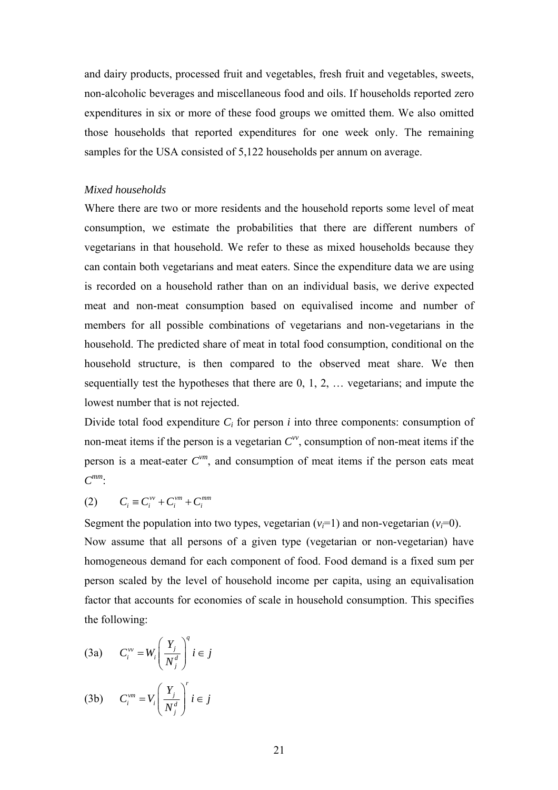and dairy products, processed fruit and vegetables, fresh fruit and vegetables, sweets, non-alcoholic beverages and miscellaneous food and oils. If households reported zero expenditures in six or more of these food groups we omitted them. We also omitted those households that reported expenditures for one week only. The remaining samples for the USA consisted of 5,122 households per annum on average.

#### *Mixed households*

Where there are two or more residents and the household reports some level of meat consumption, we estimate the probabilities that there are different numbers of vegetarians in that household. We refer to these as mixed households because they can contain both vegetarians and meat eaters. Since the expenditure data we are using is recorded on a household rather than on an individual basis, we derive expected meat and non-meat consumption based on equivalised income and number of members for all possible combinations of vegetarians and non-vegetarians in the household. The predicted share of meat in total food consumption, conditional on the household structure, is then compared to the observed meat share. We then sequentially test the hypotheses that there are 0, 1, 2, … vegetarians; and impute the lowest number that is not rejected.

Divide total food expenditure  $C_i$  for person *i* into three components: consumption of non-meat items if the person is a vegetarian  $C^{\nu\nu}$ , consumption of non-meat items if the person is a meat-eater  $C^{vm}$ , and consumption of meat items if the person eats meat *Cmm*:

$$
(2) \qquad C_i \equiv C_i^{vv} + C_i^{vm} + C_i^{mm}
$$

Segment the population into two types, vegetarian  $(v_i=1)$  and non-vegetarian  $(v_i=0)$ . Now assume that all persons of a given type (vegetarian or non-vegetarian) have homogeneous demand for each component of food. Food demand is a fixed sum per person scaled by the level of household income per capita, using an equivalisation factor that accounts for economies of scale in household consumption. This specifies the following:

$$
(3a) \t C_i^{vv} = W_i \left(\frac{Y_j}{N_j^d}\right)^q i \in j
$$

$$
(3b) \t C_i^{\nu m} = V_i \left(\frac{Y_j}{N_j^d}\right)^r i \in j
$$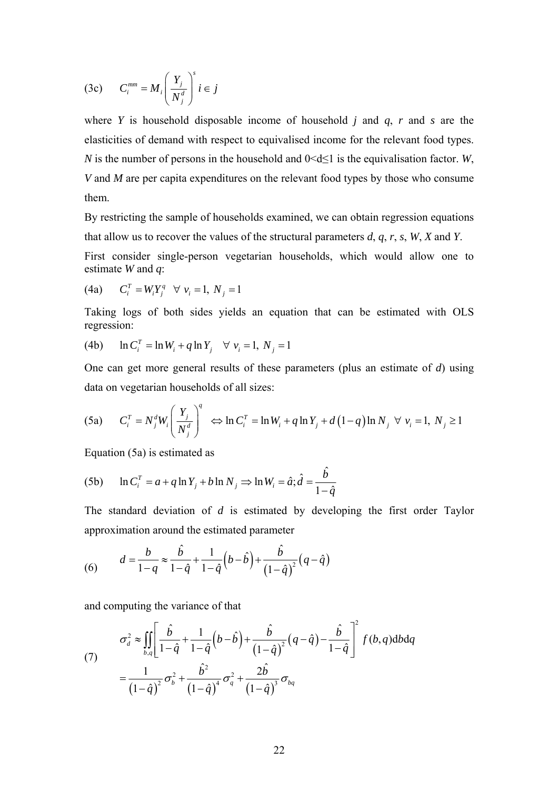$$
(3c) \t C_i^{mm} = M_i \left(\frac{Y_j}{N_j^d}\right)^s i \in j
$$

where *Y* is household disposable income of household *j* and *q*, *r* and *s* are the elasticities of demand with respect to equivalised income for the relevant food types. *N* is the number of persons in the household and  $0 \le d \le 1$  is the equivalisation factor. *W*, *V* and *M* are per capita expenditures on the relevant food types by those who consume them.

By restricting the sample of households examined, we can obtain regression equations that allow us to recover the values of the structural parameters *d*, *q*, *r*, *s*, *W*, *X* and *Y*.

First consider single-person vegetarian households, which would allow one to estimate *W* and *q*:

(4a) 
$$
C_i^T = W_i Y_j^q \quad \forall \ v_i = 1, \ N_j = 1
$$

Taking logs of both sides yields an equation that can be estimated with OLS regression:

(4b) 
$$
\ln C_i^T = \ln W_i + q \ln Y_j \quad \forall v_i = 1, N_j = 1
$$

One can get more general results of these parameters (plus an estimate of *d*) using data on vegetarian households of all sizes:

(5a) 
$$
C_i^T = N_j^d W_i \left(\frac{Y_j}{N_j^d}\right)^q \Leftrightarrow \ln C_i^T = \ln W_i + q \ln Y_j + d(1-q) \ln N_j \quad \forall \ v_i = 1, \ N_j \ge 1
$$

Equation (5a) is estimated as

(5b) 
$$
\ln C_i^T = a + q \ln Y_j + b \ln N_j \Rightarrow \ln W_i = \hat{a}; \hat{d} = \frac{\hat{b}}{1 - \hat{q}}
$$

The standard deviation of *d* is estimated by developing the first order Taylor approximation around the estimated parameter

(6) 
$$
d = \frac{b}{1-q} \approx \frac{\hat{b}}{1-\hat{q}} + \frac{1}{1-\hat{q}} \left(b-\hat{b}\right) + \frac{\hat{b}}{\left(1-\hat{q}\right)^2} \left(q-\hat{q}\right)
$$

and computing the variance of that

(7) 
$$
\sigma_d^2 \approx \iint_{b,q} \left[ \frac{\hat{b}}{1-\hat{q}} + \frac{1}{1-\hat{q}} \left( b - \hat{b} \right) + \frac{\hat{b}}{\left( 1-\hat{q} \right)^2} \left( q - \hat{q} \right) - \frac{\hat{b}}{1-\hat{q}} \right]^2 f(b,q) db dq
$$

$$
= \frac{1}{\left( 1-\hat{q} \right)^2} \sigma_b^2 + \frac{\hat{b}^2}{\left( 1-\hat{q} \right)^4} \sigma_q^2 + \frac{2\hat{b}}{\left( 1-\hat{q} \right)^3} \sigma_{bq}
$$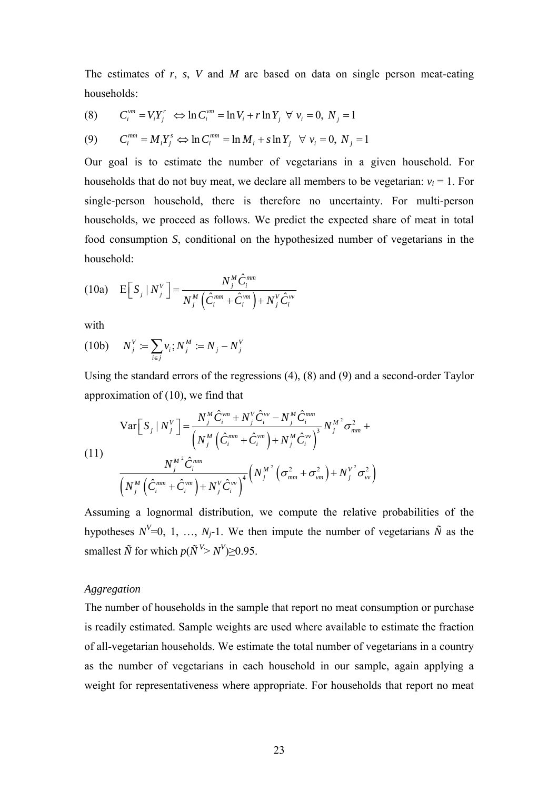The estimates of *r*, *s*, *V* and *M* are based on data on single person meat-eating households:

(8) 
$$
C_i^{vm} = V_i Y_j^r \Leftrightarrow \ln C_i^{vm} = \ln V_i + r \ln Y_j \quad \forall \ v_i = 0, \ N_j = 1
$$
  
(9) 
$$
C_i^{mm} = M_i Y_i^s \Leftrightarrow \ln C_i^{mm} = \ln M_i + s \ln Y_i \quad \forall \ v_i = 0, \ N_j = 1
$$

Our goal is to estimate the number of vegetarians in a given household. For households that do not buy meat, we declare all members to be vegetarian:  $v_i = 1$ . For single-person household, there is therefore no uncertainty. For multi-person households, we proceed as follows. We predict the expected share of meat in total food consumption *S*, conditional on the hypothesized number of vegetarians in the household:

(10a) 
$$
E\left[S_j \mid N_j^V\right] = \frac{N_j^M \hat{C}_i^{mm}}{N_j^M \left(\hat{C}_i^{mm} + \hat{C}_i^{vm}\right) + N_j^V \hat{C}_i^{vv}}
$$

with

(10b) 
$$
N_j^V := \sum_{i \in j} v_i; N_j^M := N_j - N_j^V
$$

Using the standard errors of the regressions (4), (8) and (9) and a second-order Taylor approximation of (10), we find that

(11)  
\n
$$
\operatorname{Var}\left[S_{j} | N_{j}^{V}\right] = \frac{N_{j}^{M} \hat{C}_{i}^{vm} + N_{j}^{V} \hat{C}_{i}^{vv} - N_{j}^{M} \hat{C}_{i}^{mm}}{\left(N_{j}^{M} \left(\hat{C}_{i}^{mm} + \hat{C}_{i}^{vm}\right) + N_{j}^{M} \hat{C}_{i}^{vv}\right)^{3}} N_{j}^{M^{2}} \sigma_{mm}^{2} +
$$
\n
$$
\frac{N_{j}^{M^{2}} \hat{C}_{i}^{mm}}{\left(N_{j}^{M} \left(\hat{C}_{i}^{mm} + \hat{C}_{i}^{vm}\right) + N_{j}^{V} \hat{C}_{i}^{vv}\right)^{4}} \left(N_{j}^{M^{2}} \left(\sigma_{mm}^{2} + \sigma_{vm}^{2}\right) + N_{j}^{V^{2}} \sigma_{vv}^{2}\right)
$$

Assuming a lognormal distribution, we compute the relative probabilities of the hypotheses  $N^{V}=0, 1, ..., N<sub>j</sub>$ -1. We then impute the number of vegetarians  $\tilde{N}$  as the smallest  $\tilde{N}$  for which  $p(\tilde{N}^{V} > N^{V}) \ge 0.95$ .

#### *Aggregation*

The number of households in the sample that report no meat consumption or purchase is readily estimated. Sample weights are used where available to estimate the fraction of all-vegetarian households. We estimate the total number of vegetarians in a country as the number of vegetarians in each household in our sample, again applying a weight for representativeness where appropriate. For households that report no meat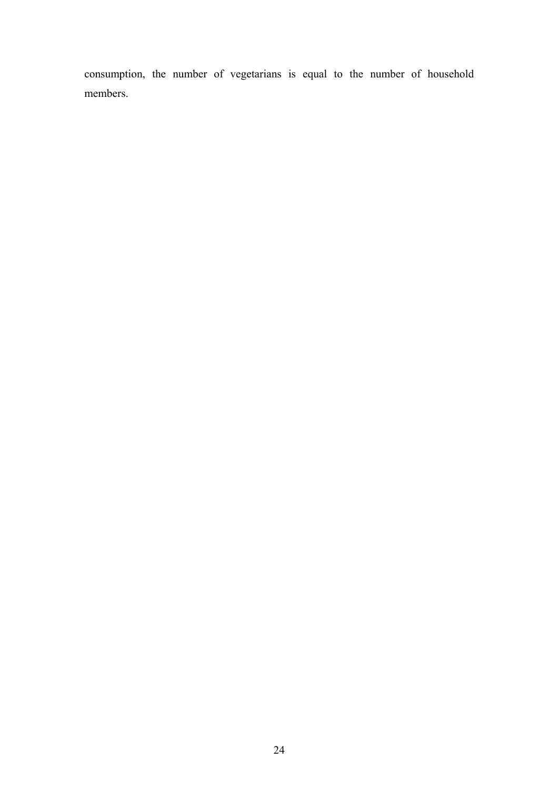consumption, the number of vegetarians is equal to the number of household members.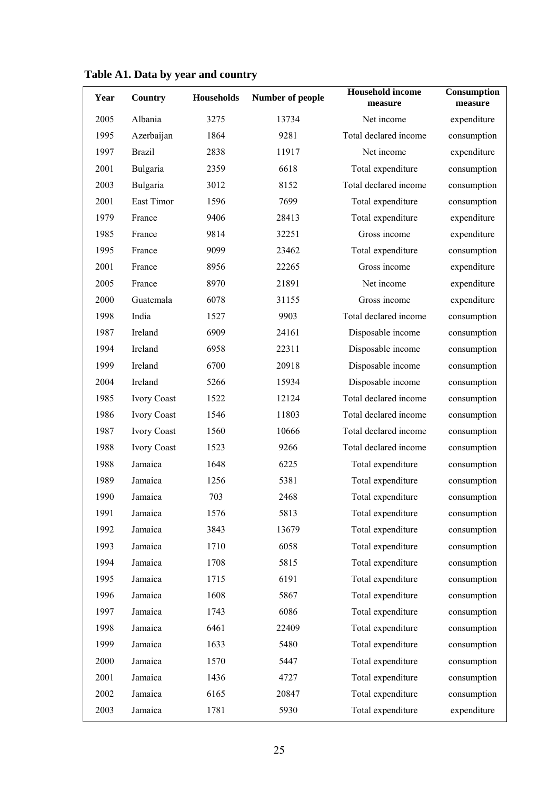| Year | Country            | <b>Households</b> | Number of people | <b>Household income</b><br>measure | Consumption<br>measure |
|------|--------------------|-------------------|------------------|------------------------------------|------------------------|
| 2005 | Albania            | 3275              | 13734            | Net income                         | expenditure            |
| 1995 | Azerbaijan         | 1864              | 9281             | Total declared income              | consumption            |
| 1997 | <b>Brazil</b>      | 2838              | 11917            | Net income                         | expenditure            |
| 2001 | Bulgaria           | 2359              | 6618             | Total expenditure                  | consumption            |
| 2003 | Bulgaria           | 3012              | 8152             | Total declared income              | consumption            |
| 2001 | East Timor         | 1596              | 7699             | Total expenditure                  | consumption            |
| 1979 | France             | 9406              | 28413            | Total expenditure                  | expenditure            |
| 1985 | France             | 9814              | 32251            | Gross income                       | expenditure            |
| 1995 | France             | 9099              | 23462            | Total expenditure                  | consumption            |
| 2001 | France             | 8956              | 22265            | Gross income                       | expenditure            |
| 2005 | France             | 8970              | 21891            | Net income                         | expenditure            |
| 2000 | Guatemala          | 6078              | 31155            | Gross income                       | expenditure            |
| 1998 | India              | 1527              | 9903             | Total declared income              | consumption            |
| 1987 | Ireland            | 6909              | 24161            | Disposable income                  | consumption            |
| 1994 | Ireland            | 6958              | 22311            | Disposable income                  | consumption            |
| 1999 | Ireland            | 6700              | 20918            | Disposable income                  | consumption            |
| 2004 | Ireland            | 5266              | 15934            | Disposable income                  | consumption            |
| 1985 | <b>Ivory Coast</b> | 1522              | 12124            | Total declared income              | consumption            |
| 1986 | <b>Ivory Coast</b> | 1546              | 11803            | Total declared income              | consumption            |
| 1987 | <b>Ivory Coast</b> | 1560              | 10666            | Total declared income              | consumption            |
| 1988 | <b>Ivory Coast</b> | 1523              | 9266             | Total declared income              | consumption            |
| 1988 | Jamaica            | 1648              | 6225             | Total expenditure                  | consumption            |
| 1989 | Jamaica            | 1256              | 5381             | Total expenditure                  | consumption            |
| 1990 | Jamaica            | 703               | 2468             | Total expenditure                  | consumption            |
| 1991 | Jamaica            | 1576              | 5813             | Total expenditure                  | consumption            |
| 1992 | Jamaica            | 3843              | 13679            | Total expenditure                  | consumption            |
| 1993 | Jamaica            | 1710              | 6058             | Total expenditure                  | consumption            |
| 1994 | Jamaica            | 1708              | 5815             | Total expenditure                  | consumption            |
| 1995 | Jamaica            | 1715              | 6191             | Total expenditure                  | consumption            |
| 1996 | Jamaica            | 1608              | 5867             | Total expenditure                  | consumption            |
| 1997 | Jamaica            | 1743              | 6086             | Total expenditure                  | consumption            |
| 1998 | Jamaica            | 6461              | 22409            | Total expenditure                  | consumption            |
| 1999 | Jamaica            | 1633              | 5480             | Total expenditure                  | consumption            |
| 2000 | Jamaica            | 1570              | 5447             | Total expenditure                  | consumption            |
| 2001 | Jamaica            | 1436              | 4727             | Total expenditure                  | consumption            |
| 2002 | Jamaica            | 6165              | 20847            | Total expenditure                  | consumption            |
| 2003 | Jamaica            | 1781              | 5930             | Total expenditure                  | expenditure            |

# **Table A1. Data by year and country**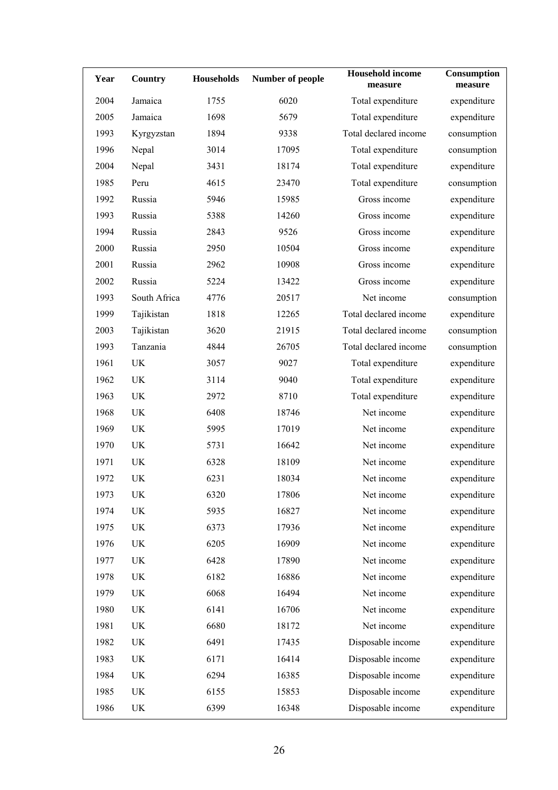| Year | Country                         | <b>Households</b> | Number of people | <b>Household</b> income<br>measure | Consumption<br>measure |
|------|---------------------------------|-------------------|------------------|------------------------------------|------------------------|
| 2004 | Jamaica                         | 1755              | 6020             | Total expenditure                  | expenditure            |
| 2005 | Jamaica                         | 1698              | 5679             | Total expenditure                  | expenditure            |
| 1993 | Kyrgyzstan                      | 1894              | 9338             | Total declared income              | consumption            |
| 1996 | Nepal                           | 3014              | 17095            | Total expenditure                  | consumption            |
| 2004 | Nepal                           | 3431              | 18174            | Total expenditure                  | expenditure            |
| 1985 | Peru                            | 4615              | 23470            | Total expenditure                  | consumption            |
| 1992 | Russia                          | 5946              | 15985            | Gross income                       | expenditure            |
| 1993 | Russia                          | 5388              | 14260            | Gross income                       | expenditure            |
| 1994 | Russia                          | 2843              | 9526             | Gross income                       | expenditure            |
| 2000 | Russia                          | 2950              | 10504            | Gross income                       | expenditure            |
| 2001 | Russia                          | 2962              | 10908            | Gross income                       | expenditure            |
| 2002 | Russia                          | 5224              | 13422            | Gross income                       | expenditure            |
| 1993 | South Africa                    | 4776              | 20517            | Net income                         | consumption            |
| 1999 | Tajikistan                      | 1818              | 12265            | Total declared income              | expenditure            |
| 2003 | Tajikistan                      | 3620              | 21915            | Total declared income              | consumption            |
| 1993 | Tanzania                        | 4844              | 26705            | Total declared income              | consumption            |
| 1961 | <b>UK</b>                       | 3057              | 9027             | Total expenditure                  | expenditure            |
| 1962 | UK                              | 3114              | 9040             | Total expenditure                  | expenditure            |
| 1963 | UK                              | 2972              | 8710             | Total expenditure                  | expenditure            |
| 1968 | UK                              | 6408              | 18746            | Net income                         | expenditure            |
| 1969 | UK                              | 5995              | 17019            | Net income                         | expenditure            |
| 1970 | UK                              | 5731              | 16642            | Net income                         | expenditure            |
| 1971 | UK                              | 6328              | 18109            | Net income                         | expenditure            |
| 1972 | UK                              | 6231              | 18034            | Net income                         | expenditure            |
| 1973 | UK                              | 6320              | 17806            | Net income                         | expenditure            |
| 1974 | UK                              | 5935              | 16827            | Net income                         | expenditure            |
| 1975 | UK                              | 6373              | 17936            | Net income                         | expenditure            |
| 1976 | $\ensuremath{\text{UK}}\xspace$ | 6205              | 16909            | Net income                         | expenditure            |
| 1977 | UK                              | 6428              | 17890            | Net income                         | expenditure            |
| 1978 | UK                              | 6182              | 16886            | Net income                         | expenditure            |
| 1979 | UK                              | 6068              | 16494            | Net income                         | expenditure            |
| 1980 | UK                              | 6141              | 16706            | Net income                         | expenditure            |
| 1981 | UK                              | 6680              | 18172            | Net income                         | expenditure            |
| 1982 | UK                              | 6491              | 17435            | Disposable income                  | expenditure            |
| 1983 | UK                              | 6171              | 16414            | Disposable income                  | expenditure            |
| 1984 | UK                              | 6294              | 16385            | Disposable income                  | expenditure            |
| 1985 | UK                              | 6155              | 15853            | Disposable income                  | expenditure            |
| 1986 | UK                              | 6399              | 16348            | Disposable income                  | expenditure            |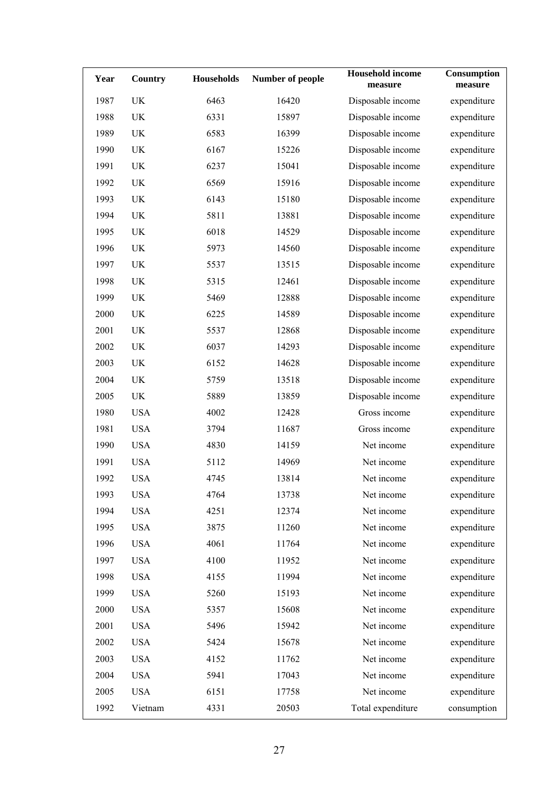| Year | <b>Country</b> | <b>Households</b> | Number of people | <b>Household income</b><br>measure | Consumption<br>measure |
|------|----------------|-------------------|------------------|------------------------------------|------------------------|
| 1987 | UK             | 6463              | 16420            | Disposable income                  | expenditure            |
| 1988 | UK             | 6331              | 15897            | Disposable income                  | expenditure            |
| 1989 | UK             | 6583              | 16399            | Disposable income                  | expenditure            |
| 1990 | UK             | 6167              | 15226            | Disposable income                  | expenditure            |
| 1991 | UK             | 6237              | 15041            | Disposable income                  | expenditure            |
| 1992 | UK             | 6569              | 15916            | Disposable income                  | expenditure            |
| 1993 | UK             | 6143              | 15180            | Disposable income                  | expenditure            |
| 1994 | UK             | 5811              | 13881            | Disposable income                  | expenditure            |
| 1995 | UK             | 6018              | 14529            | Disposable income                  | expenditure            |
| 1996 | UK             | 5973              | 14560            | Disposable income                  | expenditure            |
| 1997 | UK             | 5537              | 13515            | Disposable income                  | expenditure            |
| 1998 | UK             | 5315              | 12461            | Disposable income                  | expenditure            |
| 1999 | UK             | 5469              | 12888            | Disposable income                  | expenditure            |
| 2000 | UK             | 6225              | 14589            | Disposable income                  | expenditure            |
| 2001 | UK             | 5537              | 12868            | Disposable income                  | expenditure            |
| 2002 | UK             | 6037              | 14293            | Disposable income                  | expenditure            |
| 2003 | UK             | 6152              | 14628            | Disposable income                  | expenditure            |
| 2004 | UK             | 5759              | 13518            | Disposable income                  | expenditure            |
| 2005 | UK             | 5889              | 13859            | Disposable income                  | expenditure            |
| 1980 | <b>USA</b>     | 4002              | 12428            | Gross income                       | expenditure            |
| 1981 | <b>USA</b>     | 3794              | 11687            | Gross income                       | expenditure            |
| 1990 | <b>USA</b>     | 4830              | 14159            | Net income                         | expenditure            |
| 1991 | <b>USA</b>     | 5112              | 14969            | Net income                         | expenditure            |
| 1992 | <b>USA</b>     | 4745              | 13814            | Net income                         | expenditure            |
| 1993 | <b>USA</b>     | 4764              | 13738            | Net income                         | expenditure            |
| 1994 | <b>USA</b>     | 4251              | 12374            | Net income                         | expenditure            |
| 1995 | <b>USA</b>     | 3875              | 11260            | Net income                         | expenditure            |
| 1996 | <b>USA</b>     | 4061              | 11764            | Net income                         | expenditure            |
| 1997 | <b>USA</b>     | 4100              | 11952            | Net income                         | expenditure            |
| 1998 | <b>USA</b>     | 4155              | 11994            | Net income                         | expenditure            |
| 1999 | <b>USA</b>     | 5260              | 15193            | Net income                         | expenditure            |
| 2000 | <b>USA</b>     | 5357              | 15608            | Net income                         | expenditure            |
| 2001 | <b>USA</b>     | 5496              | 15942            | Net income                         | expenditure            |
| 2002 | <b>USA</b>     | 5424              | 15678            | Net income                         | expenditure            |
| 2003 | <b>USA</b>     | 4152              | 11762            | Net income                         | expenditure            |
| 2004 | <b>USA</b>     | 5941              | 17043            | Net income                         | expenditure            |
| 2005 | <b>USA</b>     | 6151              | 17758            | Net income                         | expenditure            |
| 1992 | Vietnam        | 4331              | 20503            | Total expenditure                  | consumption            |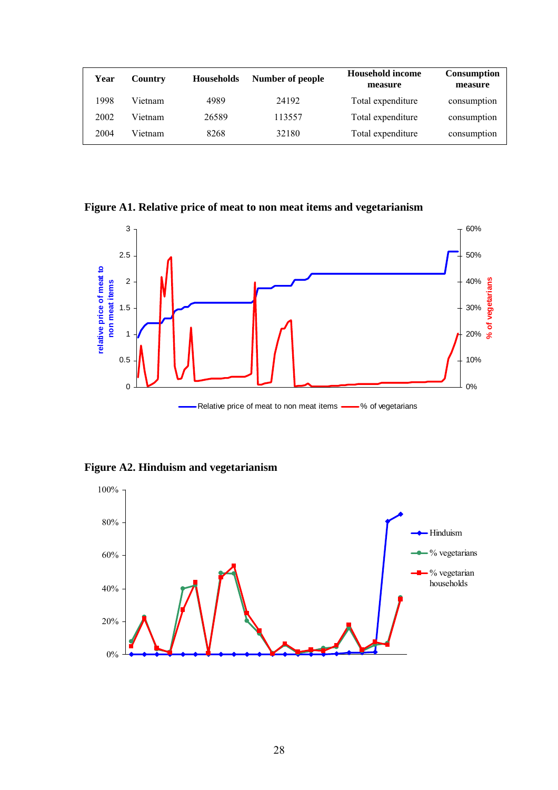| Year | Country | <b>Households</b> | Number of people | <b>Household income</b><br>measure | <b>Consumption</b><br>measure |
|------|---------|-------------------|------------------|------------------------------------|-------------------------------|
| 998  | Vietnam | 4989              | 24192            | Total expenditure                  | consumption                   |
| 2002 | Vietnam | 26589             | 113557           | Total expenditure                  | consumption                   |
| 2004 | Vietnam | 8268              | 32180            | Total expenditure                  | consumption                   |

**Figure A1. Relative price of meat to non meat items and vegetarianism** 



Relative price of meat to non meat items **-**8 of vegetarians

**Figure A2. Hinduism and vegetarianism** 

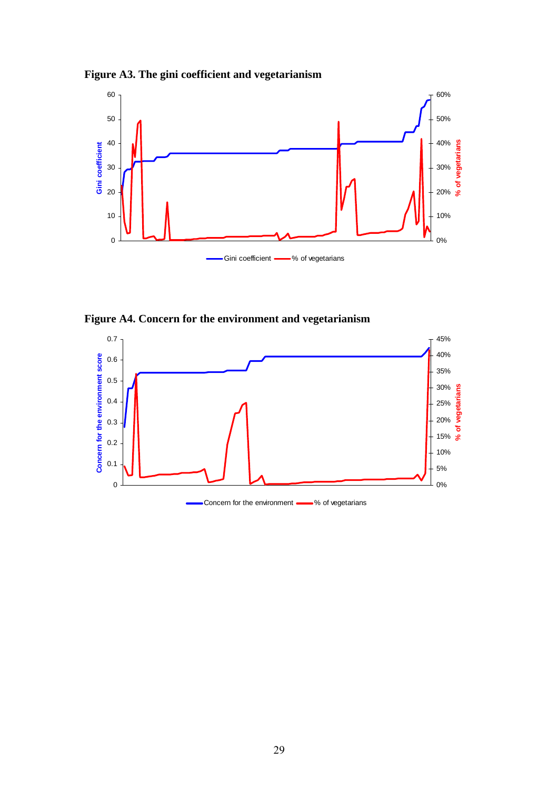



**Figure A4. Concern for the environment and vegetarianism** 

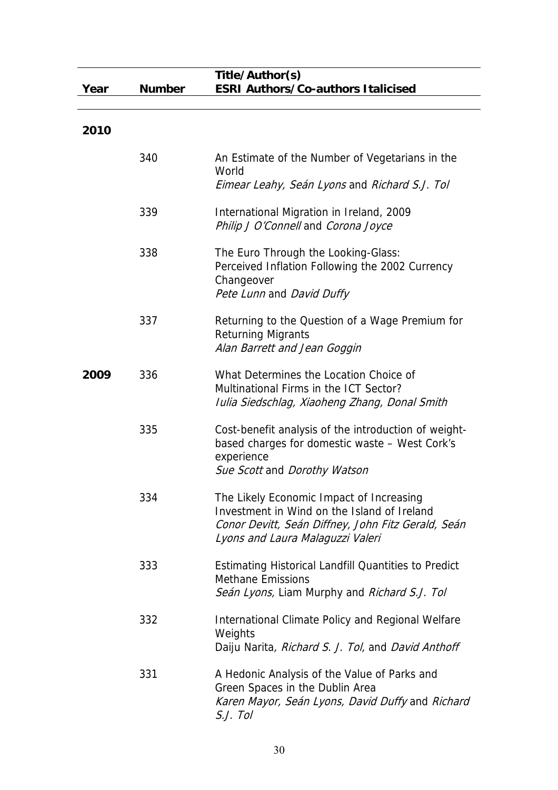|      |               | Title/Author(s)                                                                                                                                                                   |
|------|---------------|-----------------------------------------------------------------------------------------------------------------------------------------------------------------------------------|
| Year | <b>Number</b> | <b>ESRI Authors/Co-authors Italicised</b>                                                                                                                                         |
| 2010 |               |                                                                                                                                                                                   |
|      | 340           | An Estimate of the Number of Vegetarians in the<br>World<br>Eimear Leahy, Seán Lyons and Richard S.J. Tol                                                                         |
|      | 339           | International Migration in Ireland, 2009<br>Philip J O'Connell and Corona Joyce                                                                                                   |
|      | 338           | The Euro Through the Looking-Glass:<br>Perceived Inflation Following the 2002 Currency<br>Changeover<br>Pete Lunn and David Duffy                                                 |
|      | 337           | Returning to the Question of a Wage Premium for<br><b>Returning Migrants</b><br>Alan Barrett and Jean Goggin                                                                      |
| 2009 | 336           | What Determines the Location Choice of<br>Multinational Firms in the ICT Sector?<br>Iulia Siedschlag, Xiaoheng Zhang, Donal Smith                                                 |
|      | 335           | Cost-benefit analysis of the introduction of weight-<br>based charges for domestic waste - West Cork's<br>experience<br>Sue Scott and Dorothy Watson                              |
|      | 334           | The Likely Economic Impact of Increasing<br>Investment in Wind on the Island of Ireland<br>Conor Devitt, Seán Diffney, John Fitz Gerald, Seán<br>Lyons and Laura Malaguzzi Valeri |
|      | 333           | <b>Estimating Historical Landfill Quantities to Predict</b><br><b>Methane Emissions</b><br>Seán Lyons, Liam Murphy and Richard S.J. Tol                                           |
|      | 332           | International Climate Policy and Regional Welfare<br>Weights<br>Daiju Narita, Richard S. J. Tol, and David Anthoff                                                                |
|      | 331           | A Hedonic Analysis of the Value of Parks and<br>Green Spaces in the Dublin Area<br>Karen Mayor, Seán Lyons, David Duffy and Richard<br>S.J. Tol                                   |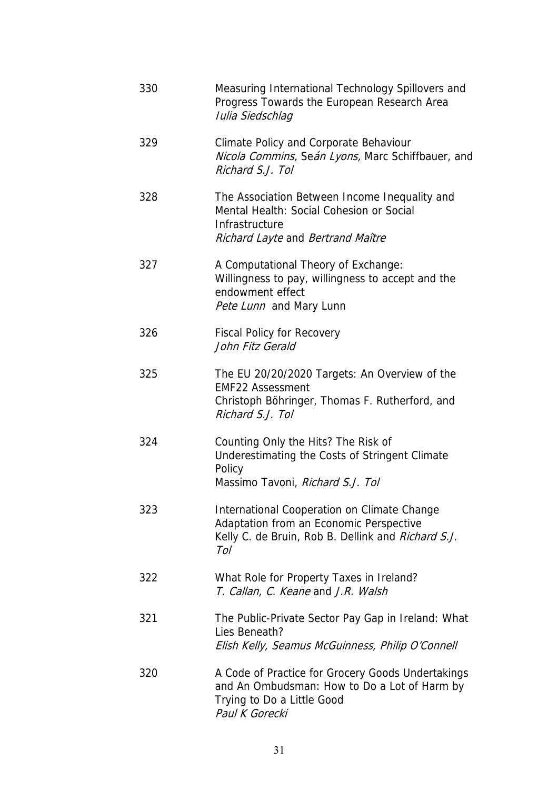| 330 | Measuring International Technology Spillovers and<br>Progress Towards the European Research Area<br>Iulia Siedschlag                                |
|-----|-----------------------------------------------------------------------------------------------------------------------------------------------------|
| 329 | Climate Policy and Corporate Behaviour<br>Nicola Commins, Seán Lyons, Marc Schiffbauer, and<br>Richard S.J. Tol                                     |
| 328 | The Association Between Income Inequality and<br>Mental Health: Social Cohesion or Social<br>Infrastructure<br>Richard Layte and Bertrand Maître    |
| 327 | A Computational Theory of Exchange:<br>Willingness to pay, willingness to accept and the<br>endowment effect<br>Pete Lunn and Mary Lunn             |
| 326 | <b>Fiscal Policy for Recovery</b><br>John Fitz Gerald                                                                                               |
| 325 | The EU 20/20/2020 Targets: An Overview of the<br><b>EMF22 Assessment</b><br>Christoph Böhringer, Thomas F. Rutherford, and<br>Richard S.J. Tol      |
| 324 | Counting Only the Hits? The Risk of<br>Underestimating the Costs of Stringent Climate<br>Policy<br>Massimo Tavoni, Richard S.J. Tol                 |
| 323 | International Cooperation on Climate Change<br>Adaptation from an Economic Perspective<br>Kelly C. de Bruin, Rob B. Dellink and Richard S.J.<br>Tol |
| 322 | What Role for Property Taxes in Ireland?<br>T. Callan, C. Keane and J.R. Walsh                                                                      |
| 321 | The Public-Private Sector Pay Gap in Ireland: What<br>Lies Beneath?<br>Elish Kelly, Seamus McGuinness, Philip O'Connell                             |
| 320 | A Code of Practice for Grocery Goods Undertakings<br>and An Ombudsman: How to Do a Lot of Harm by<br>Trying to Do a Little Good<br>Paul K Gorecki   |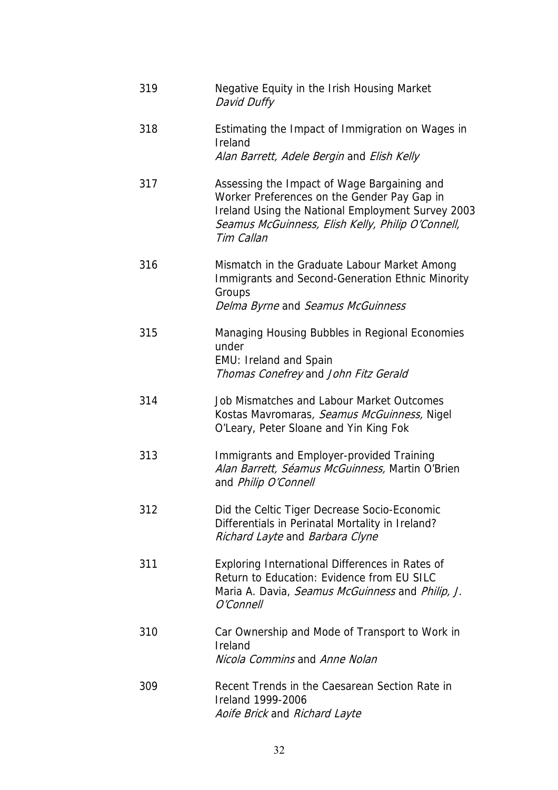| 319 | Negative Equity in the Irish Housing Market<br>David Duffy                                                                                                                                                         |
|-----|--------------------------------------------------------------------------------------------------------------------------------------------------------------------------------------------------------------------|
| 318 | Estimating the Impact of Immigration on Wages in<br>Ireland<br>Alan Barrett, Adele Bergin and Elish Kelly                                                                                                          |
| 317 | Assessing the Impact of Wage Bargaining and<br>Worker Preferences on the Gender Pay Gap in<br>Ireland Using the National Employment Survey 2003<br>Seamus McGuinness, Elish Kelly, Philip O'Connell,<br>Tim Callan |
| 316 | Mismatch in the Graduate Labour Market Among<br>Immigrants and Second-Generation Ethnic Minority<br>Groups<br>Delma Byrne and Seamus McGuinness                                                                    |
| 315 | Managing Housing Bubbles in Regional Economies<br>under<br><b>EMU: Ireland and Spain</b><br>Thomas Conefrey and John Fitz Gerald                                                                                   |
| 314 | Job Mismatches and Labour Market Outcomes<br>Kostas Mavromaras, Seamus McGuinness, Nigel<br>O'Leary, Peter Sloane and Yin King Fok                                                                                 |
| 313 | Immigrants and Employer-provided Training<br>Alan Barrett, Séamus McGuinness, Martin O'Brien<br>and Philip O'Connell                                                                                               |
| 312 | Did the Celtic Tiger Decrease Socio-Economic<br>Differentials in Perinatal Mortality in Ireland?<br>Richard Layte and Barbara Clyne                                                                                |
| 311 | Exploring International Differences in Rates of<br>Return to Education: Evidence from EU SILC<br>Maria A. Davia, Seamus McGuinness and Philip, J.<br>O'Connell                                                     |
| 310 | Car Ownership and Mode of Transport to Work in<br>Ireland<br>Nicola Commins and Anne Nolan                                                                                                                         |
| 309 | Recent Trends in the Caesarean Section Rate in<br>Ireland 1999-2006<br>Aoife Brick and Richard Layte                                                                                                               |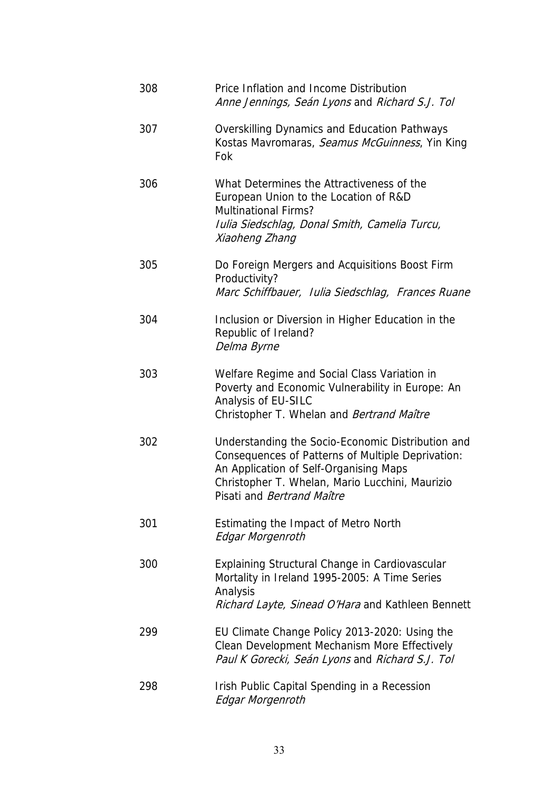| 308 | Price Inflation and Income Distribution<br>Anne Jennings, Seán Lyons and Richard S.J. Tol                                                                                                                                                |
|-----|------------------------------------------------------------------------------------------------------------------------------------------------------------------------------------------------------------------------------------------|
| 307 | <b>Overskilling Dynamics and Education Pathways</b><br>Kostas Mavromaras, Seamus McGuinness, Yin King<br>Fok                                                                                                                             |
| 306 | What Determines the Attractiveness of the<br>European Union to the Location of R&D<br><b>Multinational Firms?</b><br>Iulia Siedschlag, Donal Smith, Camelia Turcu,<br>Xiaoheng Zhang                                                     |
| 305 | Do Foreign Mergers and Acquisitions Boost Firm<br>Productivity?<br>Marc Schiffbauer, Iulia Siedschlag, Frances Ruane                                                                                                                     |
| 304 | Inclusion or Diversion in Higher Education in the<br>Republic of Ireland?<br>Delma Byrne                                                                                                                                                 |
| 303 | Welfare Regime and Social Class Variation in<br>Poverty and Economic Vulnerability in Europe: An<br>Analysis of EU-SILC<br>Christopher T. Whelan and Bertrand Maître                                                                     |
| 302 | Understanding the Socio-Economic Distribution and<br>Consequences of Patterns of Multiple Deprivation:<br>An Application of Self-Organising Maps<br>Christopher T. Whelan, Mario Lucchini, Maurizio<br>Pisati and <i>Bertrand Maître</i> |
| 301 | Estimating the Impact of Metro North<br>Edgar Morgenroth                                                                                                                                                                                 |
| 300 | Explaining Structural Change in Cardiovascular<br>Mortality in Ireland 1995-2005: A Time Series<br>Analysis<br>Richard Layte, Sinead O'Hara and Kathleen Bennett                                                                         |
| 299 | EU Climate Change Policy 2013-2020: Using the<br>Clean Development Mechanism More Effectively<br>Paul K Gorecki, Seán Lyons and Richard S.J. Tol                                                                                         |
| 298 | Irish Public Capital Spending in a Recession<br>Edgar Morgenroth                                                                                                                                                                         |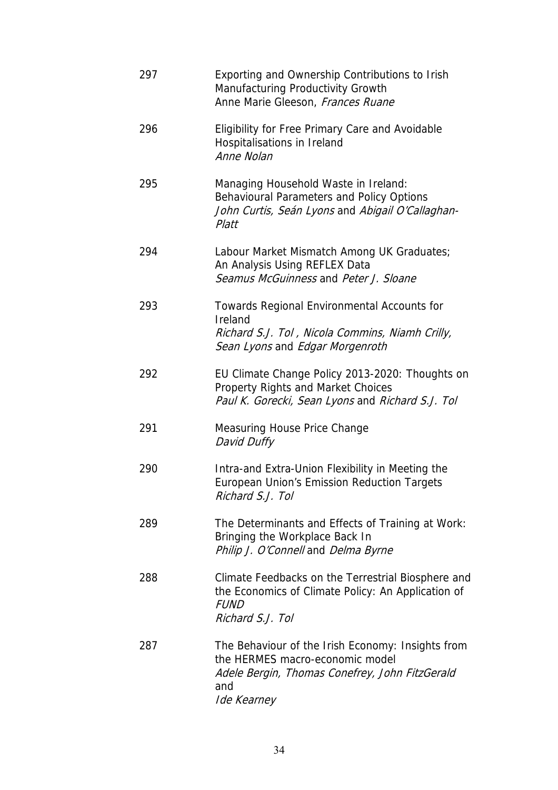| 297 | Exporting and Ownership Contributions to Irish<br>Manufacturing Productivity Growth<br>Anne Marie Gleeson, Frances Ruane                                     |
|-----|--------------------------------------------------------------------------------------------------------------------------------------------------------------|
| 296 | Eligibility for Free Primary Care and Avoidable<br>Hospitalisations in Ireland<br>Anne Nolan                                                                 |
| 295 | Managing Household Waste in Ireland:<br>Behavioural Parameters and Policy Options<br>John Curtis, Seán Lyons and Abigail O'Callaghan-<br>Platt               |
| 294 | Labour Market Mismatch Among UK Graduates;<br>An Analysis Using REFLEX Data<br>Seamus McGuinness and Peter J. Sloane                                         |
| 293 | Towards Regional Environmental Accounts for<br>Ireland<br>Richard S.J. Tol, Nicola Commins, Niamh Crilly,<br>Sean Lyons and Edgar Morgenroth                 |
| 292 | EU Climate Change Policy 2013-2020: Thoughts on<br><b>Property Rights and Market Choices</b><br>Paul K. Gorecki, Sean Lyons and Richard S.J. Tol             |
| 291 | <b>Measuring House Price Change</b><br>David Duffy                                                                                                           |
| 290 | Intra-and Extra-Union Flexibility in Meeting the<br>European Union's Emission Reduction Targets<br>Richard S.J. Tol                                          |
| 289 | The Determinants and Effects of Training at Work:<br>Bringing the Workplace Back In<br>Philip J. O'Connell and Delma Byrne                                   |
| 288 | Climate Feedbacks on the Terrestrial Biosphere and<br>the Economics of Climate Policy: An Application of<br><b>FUND</b><br>Richard S.J. Tol                  |
| 287 | The Behaviour of the Irish Economy: Insights from<br>the HERMES macro-economic model<br>Adele Bergin, Thomas Conefrey, John FitzGerald<br>and<br>Ide Kearney |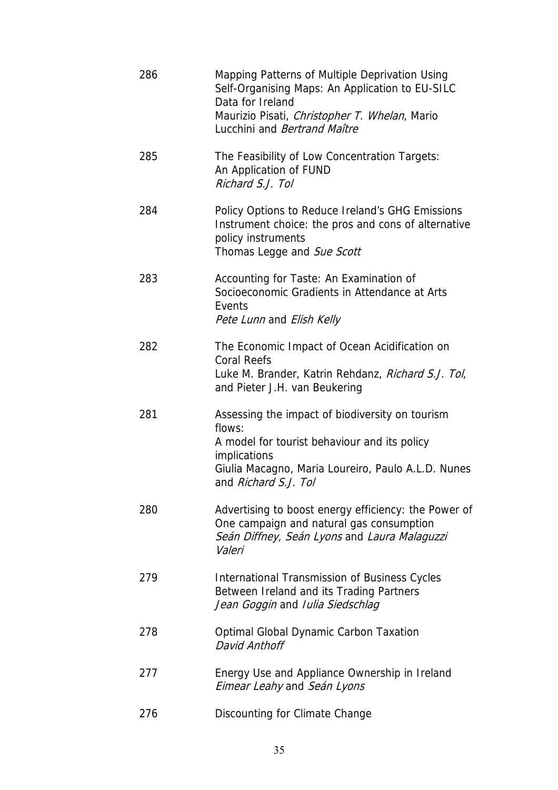| 286 | Mapping Patterns of Multiple Deprivation Using<br>Self-Organising Maps: An Application to EU-SILC<br>Data for Ireland<br>Maurizio Pisati, Christopher T. Whelan, Mario<br>Lucchini and Bertrand Maître  |
|-----|---------------------------------------------------------------------------------------------------------------------------------------------------------------------------------------------------------|
| 285 | The Feasibility of Low Concentration Targets:<br>An Application of FUND<br>Richard S.J. Tol                                                                                                             |
| 284 | Policy Options to Reduce Ireland's GHG Emissions<br>Instrument choice: the pros and cons of alternative<br>policy instruments<br>Thomas Legge and Sue Scott                                             |
| 283 | Accounting for Taste: An Examination of<br>Socioeconomic Gradients in Attendance at Arts<br>Events<br>Pete Lunn and Elish Kelly                                                                         |
| 282 | The Economic Impact of Ocean Acidification on<br><b>Coral Reefs</b><br>Luke M. Brander, Katrin Rehdanz, Richard S.J. Tol,<br>and Pieter J.H. van Beukering                                              |
| 281 | Assessing the impact of biodiversity on tourism<br>flows:<br>A model for tourist behaviour and its policy<br>implications<br>Giulia Macagno, Maria Loureiro, Paulo A.L.D. Nunes<br>and Richard S.J. Tol |
| 280 | Advertising to boost energy efficiency: the Power of<br>One campaign and natural gas consumption<br>Seán Diffney, Seán Lyons and Laura Malaguzzi<br>Valeri                                              |
| 279 | <b>International Transmission of Business Cycles</b><br>Between Ireland and its Trading Partners<br>Jean Goggin and Iulia Siedschlag                                                                    |
| 278 | <b>Optimal Global Dynamic Carbon Taxation</b><br>David Anthoff                                                                                                                                          |
| 277 | Energy Use and Appliance Ownership in Ireland<br>Eimear Leahy and Seán Lyons                                                                                                                            |
| 276 | Discounting for Climate Change                                                                                                                                                                          |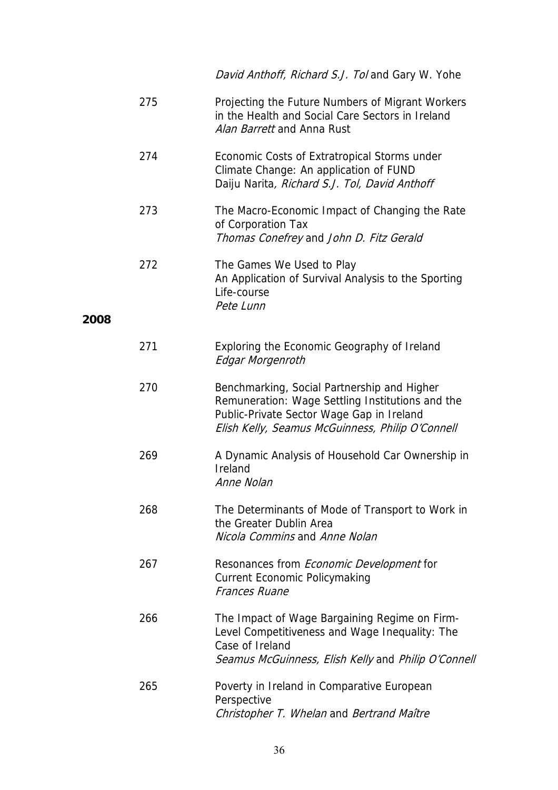|      |     | David Anthoff, Richard S.J. Tol and Gary W. Yohe                                                                                                                                                 |
|------|-----|--------------------------------------------------------------------------------------------------------------------------------------------------------------------------------------------------|
|      | 275 | Projecting the Future Numbers of Migrant Workers<br>in the Health and Social Care Sectors in Ireland<br>Alan Barrett and Anna Rust                                                               |
|      | 274 | Economic Costs of Extratropical Storms under<br>Climate Change: An application of FUND<br>Daiju Narita, Richard S.J. Tol, David Anthoff                                                          |
|      | 273 | The Macro-Economic Impact of Changing the Rate<br>of Corporation Tax<br>Thomas Conefrey and John D. Fitz Gerald                                                                                  |
|      | 272 | The Games We Used to Play<br>An Application of Survival Analysis to the Sporting<br>Life-course<br>Pete Lunn                                                                                     |
| 2008 |     |                                                                                                                                                                                                  |
|      | 271 | Exploring the Economic Geography of Ireland<br><b>Edgar Morgenroth</b>                                                                                                                           |
|      | 270 | Benchmarking, Social Partnership and Higher<br>Remuneration: Wage Settling Institutions and the<br>Public-Private Sector Wage Gap in Ireland<br>Elish Kelly, Seamus McGuinness, Philip O'Connell |
|      | 269 | A Dynamic Analysis of Household Car Ownership in<br>Ireland<br>Anne Nolan                                                                                                                        |
|      | 268 | The Determinants of Mode of Transport to Work in<br>the Greater Dublin Area<br>Nicola Commins and Anne Nolan                                                                                     |
|      | 267 | Resonances from <i>Economic Development</i> for<br><b>Current Economic Policymaking</b><br><b>Frances Ruane</b>                                                                                  |
|      | 266 | The Impact of Wage Bargaining Regime on Firm-<br>Level Competitiveness and Wage Inequality: The<br>Case of Ireland<br>Seamus McGuinness, Elish Kelly and Philip O'Connell                        |
|      | 265 | Poverty in Ireland in Comparative European<br>Perspective<br>Christopher T. Whelan and Bertrand Maître                                                                                           |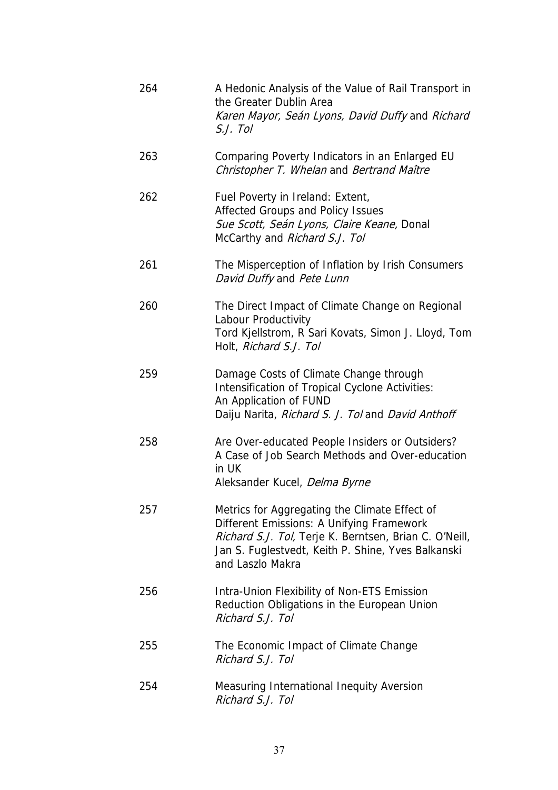| 264 | A Hedonic Analysis of the Value of Rail Transport in<br>the Greater Dublin Area<br>Karen Mayor, Seán Lyons, David Duffy and Richard<br>S.J. Tol                                                                                |
|-----|--------------------------------------------------------------------------------------------------------------------------------------------------------------------------------------------------------------------------------|
| 263 | Comparing Poverty Indicators in an Enlarged EU<br>Christopher T. Whelan and Bertrand Maître                                                                                                                                    |
| 262 | Fuel Poverty in Ireland: Extent,<br>Affected Groups and Policy Issues<br>Sue Scott, Seán Lyons, Claire Keane, Donal<br>McCarthy and Richard S.J. Tol                                                                           |
| 261 | The Misperception of Inflation by Irish Consumers<br>David Duffy and Pete Lunn                                                                                                                                                 |
| 260 | The Direct Impact of Climate Change on Regional<br>Labour Productivity<br>Tord Kjellstrom, R Sari Kovats, Simon J. Lloyd, Tom<br>Holt, Richard S.J. Tol                                                                        |
| 259 | Damage Costs of Climate Change through<br>Intensification of Tropical Cyclone Activities:<br>An Application of FUND<br>Daiju Narita, Richard S. J. Tol and David Anthoff                                                       |
| 258 | Are Over-educated People Insiders or Outsiders?<br>A Case of Job Search Methods and Over-education<br>in UK<br>Aleksander Kucel, Delma Byrne                                                                                   |
| 257 | Metrics for Aggregating the Climate Effect of<br>Different Emissions: A Unifying Framework<br>Richard S.J. Tol, Terje K. Berntsen, Brian C. O'Neill,<br>Jan S. Fuglestvedt, Keith P. Shine, Yves Balkanski<br>and Laszlo Makra |
| 256 | Intra-Union Flexibility of Non-ETS Emission<br>Reduction Obligations in the European Union<br>Richard S.J. Tol                                                                                                                 |
| 255 | The Economic Impact of Climate Change<br>Richard S.J. Tol                                                                                                                                                                      |
| 254 | Measuring International Inequity Aversion<br>Richard S.J. Tol                                                                                                                                                                  |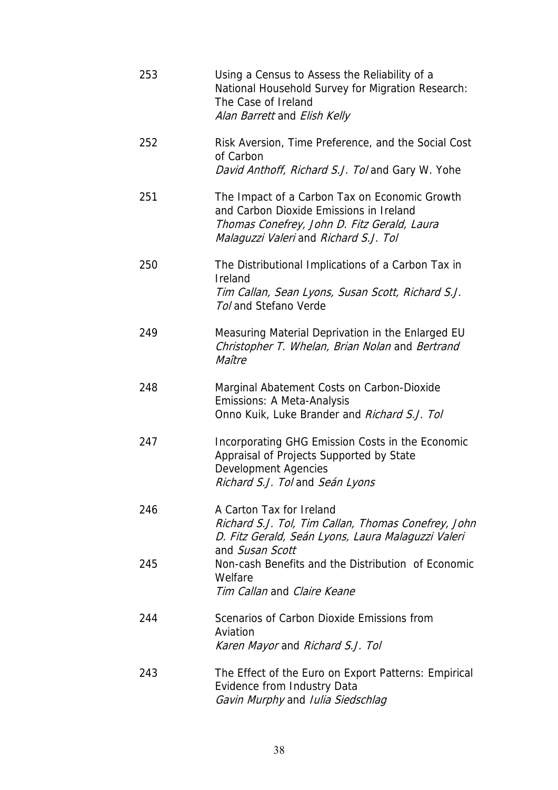| 253 | Using a Census to Assess the Reliability of a<br>National Household Survey for Migration Research:<br>The Case of Ireland<br>Alan Barrett and Elish Kelly                        |
|-----|----------------------------------------------------------------------------------------------------------------------------------------------------------------------------------|
| 252 | Risk Aversion, Time Preference, and the Social Cost<br>of Carbon<br>David Anthoff, Richard S.J. Tol and Gary W. Yohe                                                             |
| 251 | The Impact of a Carbon Tax on Economic Growth<br>and Carbon Dioxide Emissions in Ireland<br>Thomas Conefrey, John D. Fitz Gerald, Laura<br>Malaguzzi Valeri and Richard S.J. Tol |
| 250 | The Distributional Implications of a Carbon Tax in<br>Ireland<br>Tim Callan, Sean Lyons, Susan Scott, Richard S.J.<br>Tol and Stefano Verde                                      |
| 249 | Measuring Material Deprivation in the Enlarged EU<br>Christopher T. Whelan, Brian Nolan and Bertrand<br>Maître                                                                   |
| 248 | Marginal Abatement Costs on Carbon-Dioxide<br>Emissions: A Meta-Analysis<br>Onno Kuik, Luke Brander and Richard S.J. Tol                                                         |
| 247 | Incorporating GHG Emission Costs in the Economic<br>Appraisal of Projects Supported by State<br><b>Development Agencies</b><br>Richard S.J. Tol and Seán Lyons                   |
| 246 | A Carton Tax for Ireland<br>Richard S.J. Tol, Tim Callan, Thomas Conefrey, John<br>D. Fitz Gerald, Seán Lyons, Laura Malaguzzi Valeri<br>and Susan Scott                         |
| 245 | Non-cash Benefits and the Distribution of Economic<br>Welfare<br>Tim Callan and Claire Keane                                                                                     |
| 244 | Scenarios of Carbon Dioxide Emissions from<br>Aviation<br>Karen Mayor and Richard S.J. Tol                                                                                       |
| 243 | The Effect of the Euro on Export Patterns: Empirical<br>Evidence from Industry Data<br>Gavin Murphy and Iulia Siedschlag                                                         |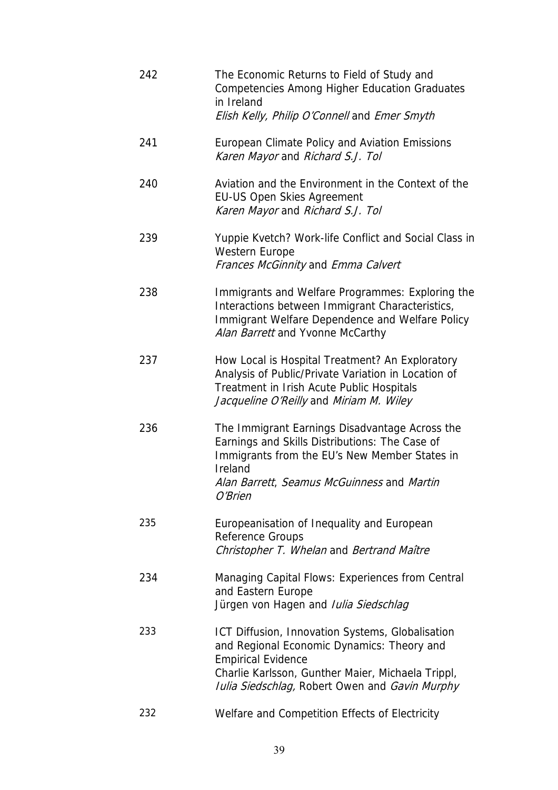| 242 | The Economic Returns to Field of Study and<br><b>Competencies Among Higher Education Graduates</b><br>in Ireland<br>Elish Kelly, Philip O'Connell and Emer Smyth                                                                          |
|-----|-------------------------------------------------------------------------------------------------------------------------------------------------------------------------------------------------------------------------------------------|
| 241 | European Climate Policy and Aviation Emissions<br>Karen Mayor and Richard S.J. Tol                                                                                                                                                        |
| 240 | Aviation and the Environment in the Context of the<br><b>EU-US Open Skies Agreement</b><br>Karen Mayor and Richard S.J. Tol                                                                                                               |
| 239 | Yuppie Kvetch? Work-life Conflict and Social Class in<br><b>Western Europe</b><br>Frances McGinnity and Emma Calvert                                                                                                                      |
| 238 | Immigrants and Welfare Programmes: Exploring the<br>Interactions between Immigrant Characteristics,<br>Immigrant Welfare Dependence and Welfare Policy<br>Alan Barrett and Yvonne McCarthy                                                |
| 237 | How Local is Hospital Treatment? An Exploratory<br>Analysis of Public/Private Variation in Location of<br>Treatment in Irish Acute Public Hospitals<br>Jacqueline O'Reilly and Miriam M. Wiley                                            |
| 236 | The Immigrant Earnings Disadvantage Across the<br>Earnings and Skills Distributions: The Case of<br>Immigrants from the EU's New Member States in<br>Ireland<br>Alan Barrett, Seamus McGuinness and Martin<br>O'Brien                     |
| 235 | Europeanisation of Inequality and European<br>Reference Groups<br>Christopher T. Whelan and Bertrand Maître                                                                                                                               |
| 234 | Managing Capital Flows: Experiences from Central<br>and Eastern Europe<br>Jürgen von Hagen and Iulia Siedschlag                                                                                                                           |
| 233 | ICT Diffusion, Innovation Systems, Globalisation<br>and Regional Economic Dynamics: Theory and<br><b>Empirical Evidence</b><br>Charlie Karlsson, Gunther Maier, Michaela Trippl,<br><b>Iulia Siedschlag, Robert Owen and Gavin Murphy</b> |
| 232 | Welfare and Competition Effects of Electricity                                                                                                                                                                                            |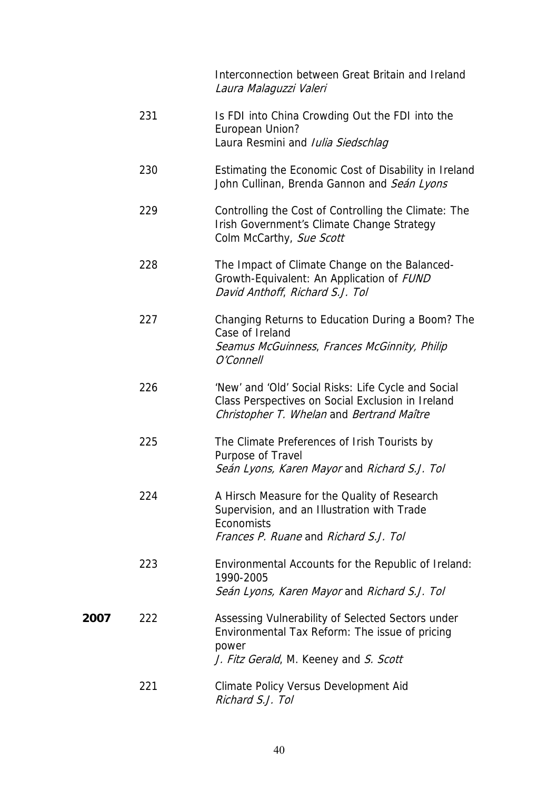Interconnection between Great Britain and Ireland Laura Malaguzzi Valeri

231 Is FDI into China Crowding Out the FDI into the European Union? Laura Resmini and *Iulia Siedschlag*  230 Estimating the Economic Cost of Disability in Ireland John Cullinan, Brenda Gannon and Seán Lyons 229 Controlling the Cost of Controlling the Climate: The Irish Government's Climate Change Strategy Colm McCarthy, Sue Scott 228 The Impact of Climate Change on the Balanced-Growth-Equivalent: An Application of FUND David Anthoff, Richard S.J. Tol 227 Changing Returns to Education During a Boom? The Case of Ireland Seamus McGuinness, Frances McGinnity, Philip O'Connell 226 'New' and 'Old' Social Risks: Life Cycle and Social Class Perspectives on Social Exclusion in Ireland Christopher T. Whelan and Bertrand Maître 225 The Climate Preferences of Irish Tourists by Purpose of Travel Seán Lyons, Karen Mayor and Richard S.J. Tol 224 A Hirsch Measure for the Quality of Research Supervision, and an Illustration with Trade **Economists**  Frances P. Ruane and Richard S.J. Tol 223 Environmental Accounts for the Republic of Ireland: 1990-2005 Seán Lyons, Karen Mayor and Richard S.J. Tol **2007** 222 Assessing Vulnerability of Selected Sectors under Environmental Tax Reform: The issue of pricing power J. Fitz Gerald, M. Keeney and S. Scott 221 Climate Policy Versus Development Aid Richard S.J. Tol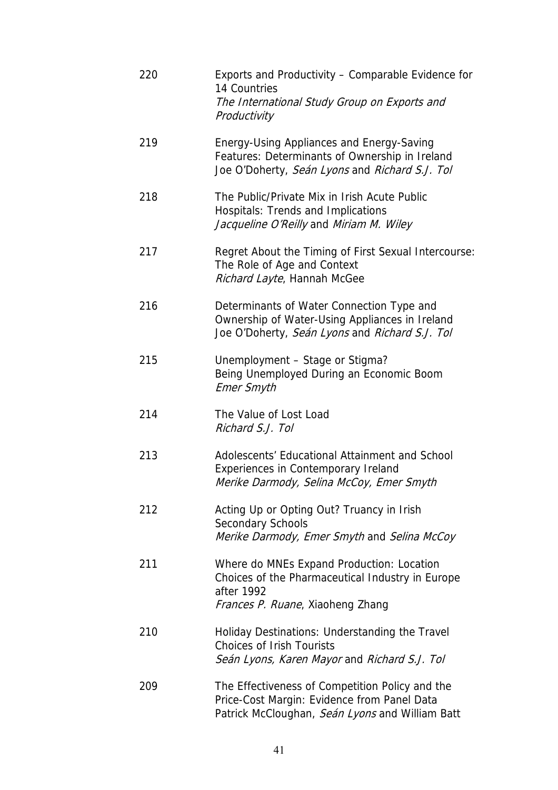| 220 | Exports and Productivity – Comparable Evidence for<br>14 Countries<br>The International Study Group on Exports and<br>Productivity                |
|-----|---------------------------------------------------------------------------------------------------------------------------------------------------|
| 219 | Energy-Using Appliances and Energy-Saving<br>Features: Determinants of Ownership in Ireland<br>Joe O'Doherty, Seán Lyons and Richard S.J. Tol     |
| 218 | The Public/Private Mix in Irish Acute Public<br>Hospitals: Trends and Implications<br>Jacqueline O'Reilly and Miriam M. Wiley                     |
| 217 | Regret About the Timing of First Sexual Intercourse:<br>The Role of Age and Context<br>Richard Layte, Hannah McGee                                |
| 216 | Determinants of Water Connection Type and<br>Ownership of Water-Using Appliances in Ireland<br>Joe O'Doherty, Seán Lyons and Richard S.J. Tol     |
| 215 | Unemployment - Stage or Stigma?<br>Being Unemployed During an Economic Boom<br><b>Emer Smyth</b>                                                  |
| 214 | The Value of Lost Load<br>Richard S.J. Tol                                                                                                        |
| 213 | Adolescents' Educational Attainment and School<br>Experiences in Contemporary Ireland<br>Merike Darmody, Selina McCoy, Emer Smyth                 |
| 212 | Acting Up or Opting Out? Truancy in Irish<br><b>Secondary Schools</b><br>Merike Darmody, Emer Smyth and Selina McCoy                              |
| 211 | Where do MNEs Expand Production: Location<br>Choices of the Pharmaceutical Industry in Europe<br>after 1992<br>Frances P. Ruane, Xiaoheng Zhang   |
| 210 | Holiday Destinations: Understanding the Travel<br><b>Choices of Irish Tourists</b><br>Seán Lyons, Karen Mayor and Richard S.J. Tol                |
| 209 | The Effectiveness of Competition Policy and the<br>Price-Cost Margin: Evidence from Panel Data<br>Patrick McCloughan, Seán Lyons and William Batt |